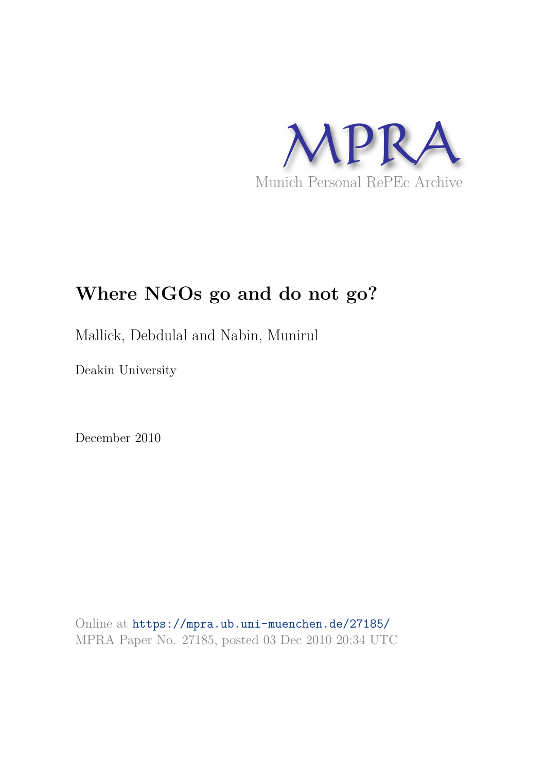

# **Where NGOs go and do not go?**

Mallick, Debdulal and Nabin, Munirul

Deakin University

December 2010

Online at https://mpra.ub.uni-muenchen.de/27185/ MPRA Paper No. 27185, posted 03 Dec 2010 20:34 UTC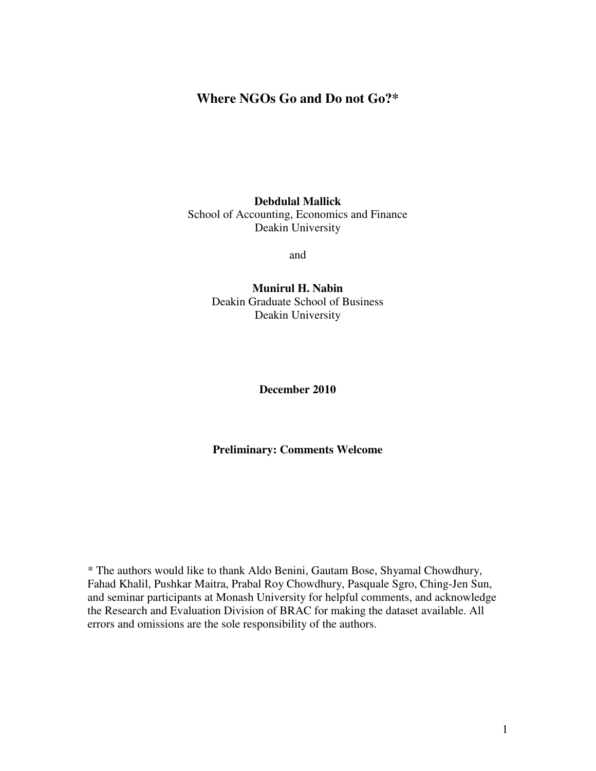### **Where NGOs Go and Do not Go?\***

#### **Debdulal Mallick** School of Accounting, Economics and Finance Deakin University

and

**Munirul H. Nabin** Deakin Graduate School of Business Deakin University

**December 2010** 

**Preliminary: Comments Welcome**

\* The authors would like to thank Aldo Benini, Gautam Bose, Shyamal Chowdhury, Fahad Khalil, Pushkar Maitra, Prabal Roy Chowdhury, Pasquale Sgro, Ching-Jen Sun, and seminar participants at Monash University for helpful comments, and acknowledge the Research and Evaluation Division of BRAC for making the dataset available. All errors and omissions are the sole responsibility of the authors.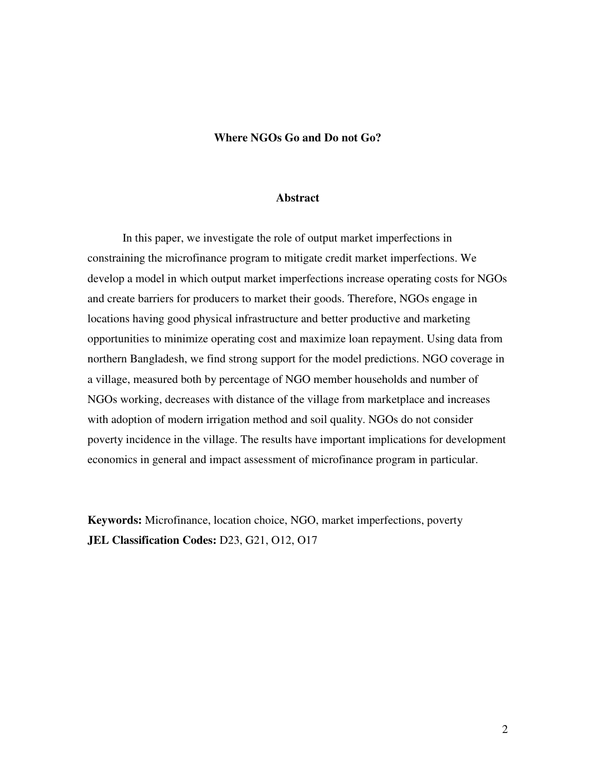#### **Where NGOs Go and Do not Go?**

#### **Abstract**

In this paper, we investigate the role of output market imperfections in constraining the microfinance program to mitigate credit market imperfections. We develop a model in which output market imperfections increase operating costs for NGOs and create barriers for producers to market their goods. Therefore, NGOs engage in locations having good physical infrastructure and better productive and marketing opportunities to minimize operating cost and maximize loan repayment. Using data from northern Bangladesh, we find strong support for the model predictions. NGO coverage in a village, measured both by percentage of NGO member households and number of NGOs working, decreases with distance of the village from marketplace and increases with adoption of modern irrigation method and soil quality. NGOs do not consider poverty incidence in the village. The results have important implications for development economics in general and impact assessment of microfinance program in particular.

**Keywords:** Microfinance, location choice, NGO, market imperfections, poverty **JEL Classification Codes:** D23, G21, O12, O17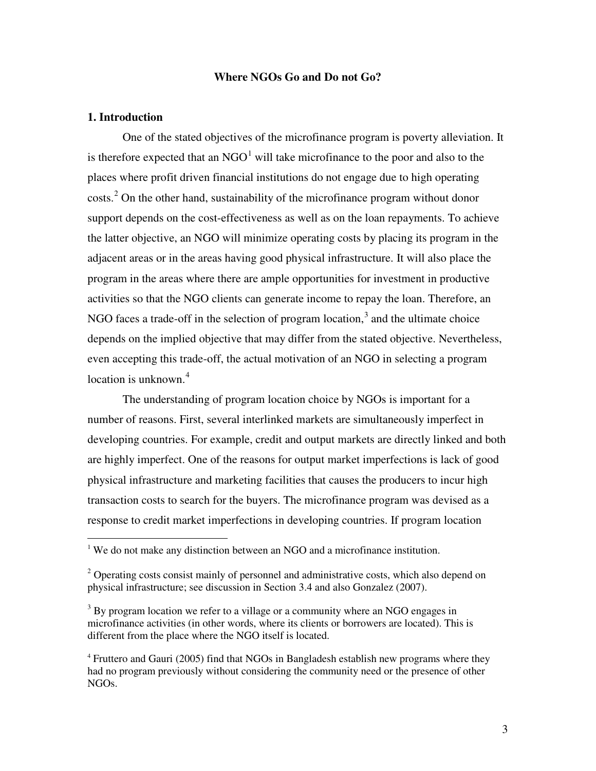#### **Where NGOs Go and Do not Go?**

#### **1. Introduction**

<u>.</u>

One of the stated objectives of the microfinance program is poverty alleviation. It is therefore expected that an NGO<sup>[1](#page-3-0)</sup> will take microfinance to the poor and also to the places where profit driven financial institutions do not engage due to high operating costs.<sup>[2](#page-3-1)</sup> On the other hand, sustainability of the microfinance program without donor support depends on the cost-effectiveness as well as on the loan repayments. To achieve the latter objective, an NGO will minimize operating costs by placing its program in the adjacent areas or in the areas having good physical infrastructure. It will also place the program in the areas where there are ample opportunities for investment in productive activities so that the NGO clients can generate income to repay the loan. Therefore, an NGO faces a trade-off in the selection of program location, $3$  and the ultimate choice depends on the implied objective that may differ from the stated objective. Nevertheless, even accepting this trade-off, the actual motivation of an NGO in selecting a program location is unknown.<sup>[4](#page-3-3)</sup>

The understanding of program location choice by NGOs is important for a number of reasons. First, several interlinked markets are simultaneously imperfect in developing countries. For example, credit and output markets are directly linked and both are highly imperfect. One of the reasons for output market imperfections is lack of good physical infrastructure and marketing facilities that causes the producers to incur high transaction costs to search for the buyers. The microfinance program was devised as a response to credit market imperfections in developing countries. If program location

<span id="page-3-0"></span> $1$  We do not make any distinction between an NGO and a microfinance institution.

<span id="page-3-1"></span> $2^2$  Operating costs consist mainly of personnel and administrative costs, which also depend on physical infrastructure; see discussion in Section 3.4 and also Gonzalez (2007).

<span id="page-3-2"></span> $3$  By program location we refer to a village or a community where an NGO engages in microfinance activities (in other words, where its clients or borrowers are located). This is different from the place where the NGO itself is located.

<span id="page-3-3"></span><sup>4</sup> Fruttero and Gauri (2005) find that NGOs in Bangladesh establish new programs where they had no program previously without considering the community need or the presence of other NGOs.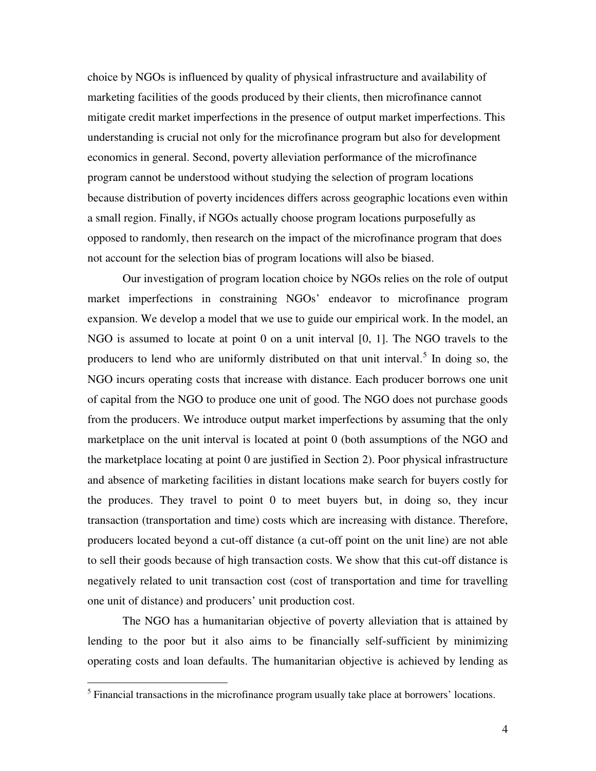choice by NGOs is influenced by quality of physical infrastructure and availability of marketing facilities of the goods produced by their clients, then microfinance cannot mitigate credit market imperfections in the presence of output market imperfections. This understanding is crucial not only for the microfinance program but also for development economics in general. Second, poverty alleviation performance of the microfinance program cannot be understood without studying the selection of program locations because distribution of poverty incidences differs across geographic locations even within a small region. Finally, if NGOs actually choose program locations purposefully as opposed to randomly, then research on the impact of the microfinance program that does not account for the selection bias of program locations will also be biased.

Our investigation of program location choice by NGOs relies on the role of output market imperfections in constraining NGOs' endeavor to microfinance program expansion. We develop a model that we use to guide our empirical work. In the model, an NGO is assumed to locate at point 0 on a unit interval [0, 1]. The NGO travels to the producers to lend who are uniformly distributed on that unit interval.<sup>[5](#page-4-0)</sup> In doing so, the NGO incurs operating costs that increase with distance. Each producer borrows one unit of capital from the NGO to produce one unit of good. The NGO does not purchase goods from the producers. We introduce output market imperfections by assuming that the only marketplace on the unit interval is located at point 0 (both assumptions of the NGO and the marketplace locating at point 0 are justified in Section 2). Poor physical infrastructure and absence of marketing facilities in distant locations make search for buyers costly for the produces. They travel to point 0 to meet buyers but, in doing so, they incur transaction (transportation and time) costs which are increasing with distance. Therefore, producers located beyond a cut-off distance (a cut-off point on the unit line) are not able to sell their goods because of high transaction costs. We show that this cut-off distance is negatively related to unit transaction cost (cost of transportation and time for travelling one unit of distance) and producers' unit production cost.

The NGO has a humanitarian objective of poverty alleviation that is attained by lending to the poor but it also aims to be financially self-sufficient by minimizing operating costs and loan defaults. The humanitarian objective is achieved by lending as

<span id="page-4-0"></span><sup>&</sup>lt;sup>5</sup> Financial transactions in the microfinance program usually take place at borrowers' locations.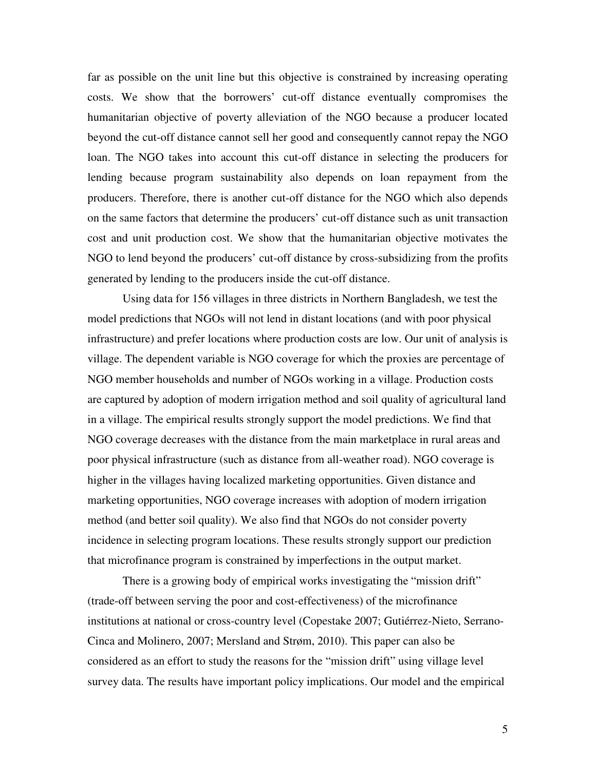far as possible on the unit line but this objective is constrained by increasing operating costs. We show that the borrowers' cut-off distance eventually compromises the humanitarian objective of poverty alleviation of the NGO because a producer located beyond the cut-off distance cannot sell her good and consequently cannot repay the NGO loan. The NGO takes into account this cut-off distance in selecting the producers for lending because program sustainability also depends on loan repayment from the producers. Therefore, there is another cut-off distance for the NGO which also depends on the same factors that determine the producers' cut-off distance such as unit transaction cost and unit production cost. We show that the humanitarian objective motivates the NGO to lend beyond the producers' cut-off distance by cross-subsidizing from the profits generated by lending to the producers inside the cut-off distance.

Using data for 156 villages in three districts in Northern Bangladesh, we test the model predictions that NGOs will not lend in distant locations (and with poor physical infrastructure) and prefer locations where production costs are low. Our unit of analysis is village. The dependent variable is NGO coverage for which the proxies are percentage of NGO member households and number of NGOs working in a village. Production costs are captured by adoption of modern irrigation method and soil quality of agricultural land in a village. The empirical results strongly support the model predictions. We find that NGO coverage decreases with the distance from the main marketplace in rural areas and poor physical infrastructure (such as distance from all-weather road). NGO coverage is higher in the villages having localized marketing opportunities. Given distance and marketing opportunities, NGO coverage increases with adoption of modern irrigation method (and better soil quality). We also find that NGOs do not consider poverty incidence in selecting program locations. These results strongly support our prediction that microfinance program is constrained by imperfections in the output market.

There is a growing body of empirical works investigating the "mission drift" (trade-off between serving the poor and cost-effectiveness) of the microfinance institutions at national or cross-country level (Copestake 2007; Gutiérrez-Nieto, Serrano-Cinca and Molinero, 2007; Mersland and Strøm, 2010). This paper can also be considered as an effort to study the reasons for the "mission drift" using village level survey data. The results have important policy implications. Our model and the empirical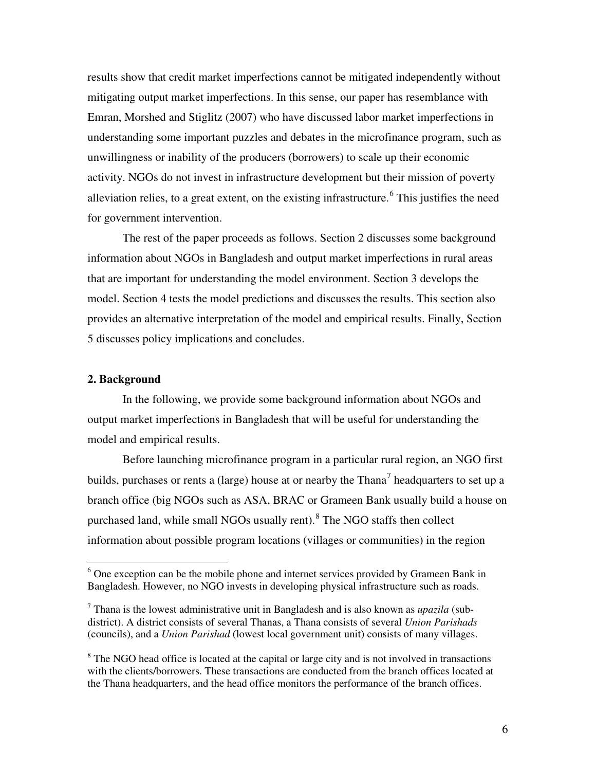results show that credit market imperfections cannot be mitigated independently without mitigating output market imperfections. In this sense, our paper has resemblance with Emran, Morshed and Stiglitz (2007) who have discussed labor market imperfections in understanding some important puzzles and debates in the microfinance program, such as unwillingness or inability of the producers (borrowers) to scale up their economic activity. NGOs do not invest in infrastructure development but their mission of poverty alleviation relies, to a great extent, on the existing infrastructure.<sup>[6](#page-6-0)</sup> This justifies the need for government intervention.

The rest of the paper proceeds as follows. Section 2 discusses some background information about NGOs in Bangladesh and output market imperfections in rural areas that are important for understanding the model environment. Section 3 develops the model. Section 4 tests the model predictions and discusses the results. This section also provides an alternative interpretation of the model and empirical results. Finally, Section 5 discusses policy implications and concludes.

#### **2. Background**

 $\overline{a}$ 

In the following, we provide some background information about NGOs and output market imperfections in Bangladesh that will be useful for understanding the model and empirical results.

Before launching microfinance program in a particular rural region, an NGO first builds, purchases or rents a (large) house at or nearby the Thana<sup>[7](#page-6-1)</sup> headquarters to set up a branch office (big NGOs such as ASA, BRAC or Grameen Bank usually build a house on purchased land, while small NGOs usually rent). <sup>[8](#page-6-2)</sup> The NGO staffs then collect information about possible program locations (villages or communities) in the region

<span id="page-6-0"></span><sup>&</sup>lt;sup>6</sup> One exception can be the mobile phone and internet services provided by Grameen Bank in Bangladesh. However, no NGO invests in developing physical infrastructure such as roads.

<span id="page-6-1"></span> $\frac{7}{7}$  Thana is the lowest administrative unit in Bangladesh and is also known as *upazila* (subdistrict). A district consists of several Thanas, a Thana consists of several *Union Parishads* (councils), and a *Union Parishad* (lowest local government unit) consists of many villages.

<span id="page-6-2"></span><sup>&</sup>lt;sup>8</sup> The NGO head office is located at the capital or large city and is not involved in transactions with the clients/borrowers. These transactions are conducted from the branch offices located at the Thana headquarters, and the head office monitors the performance of the branch offices.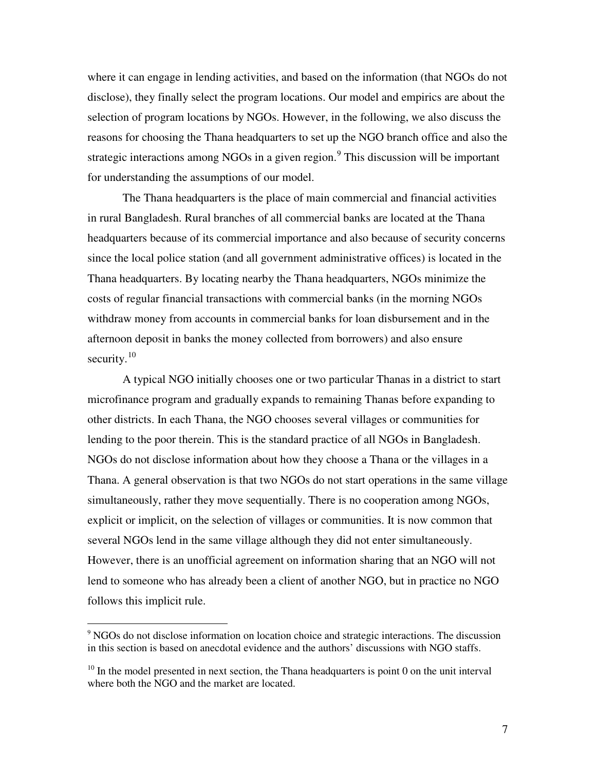where it can engage in lending activities, and based on the information (that NGOs do not disclose), they finally select the program locations. Our model and empirics are about the selection of program locations by NGOs. However, in the following, we also discuss the reasons for choosing the Thana headquarters to set up the NGO branch office and also the strategic interactions among NGOs in a given region.<sup>[9](#page-7-0)</sup> This discussion will be important for understanding the assumptions of our model.

The Thana headquarters is the place of main commercial and financial activities in rural Bangladesh. Rural branches of all commercial banks are located at the Thana headquarters because of its commercial importance and also because of security concerns since the local police station (and all government administrative offices) is located in the Thana headquarters. By locating nearby the Thana headquarters, NGOs minimize the costs of regular financial transactions with commercial banks (in the morning NGOs withdraw money from accounts in commercial banks for loan disbursement and in the afternoon deposit in banks the money collected from borrowers) and also ensure security. $10$ 

A typical NGO initially chooses one or two particular Thanas in a district to start microfinance program and gradually expands to remaining Thanas before expanding to other districts. In each Thana, the NGO chooses several villages or communities for lending to the poor therein. This is the standard practice of all NGOs in Bangladesh. NGOs do not disclose information about how they choose a Thana or the villages in a Thana. A general observation is that two NGOs do not start operations in the same village simultaneously, rather they move sequentially. There is no cooperation among NGOs, explicit or implicit, on the selection of villages or communities. It is now common that several NGOs lend in the same village although they did not enter simultaneously. However, there is an unofficial agreement on information sharing that an NGO will not lend to someone who has already been a client of another NGO, but in practice no NGO follows this implicit rule.

-

<span id="page-7-0"></span><sup>&</sup>lt;sup>9</sup> NGOs do not disclose information on location choice and strategic interactions. The discussion in this section is based on anecdotal evidence and the authors' discussions with NGO staffs.

<span id="page-7-1"></span> $10$  In the model presented in next section, the Thana headquarters is point 0 on the unit interval where both the NGO and the market are located.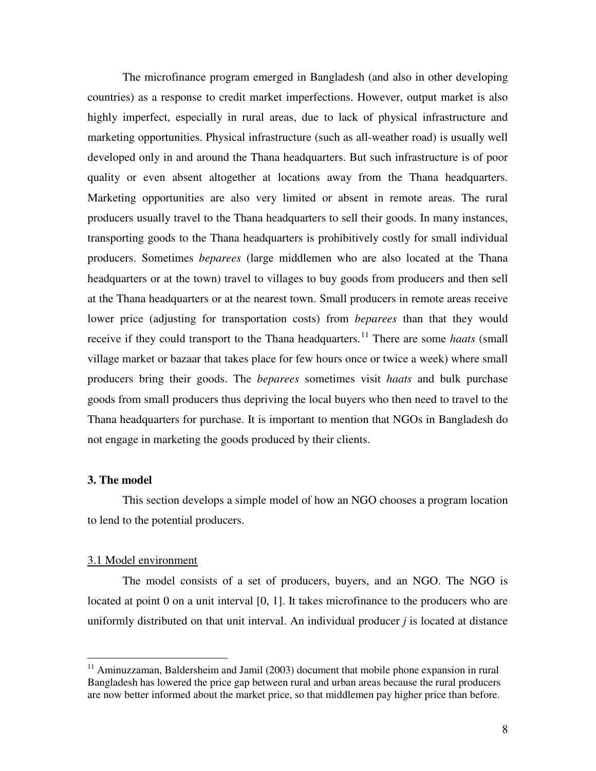The microfinance program emerged in Bangladesh (and also in other developing countries) as a response to credit market imperfections. However, output market is also highly imperfect, especially in rural areas, due to lack of physical infrastructure and marketing opportunities. Physical infrastructure (such as all-weather road) is usually well developed only in and around the Thana headquarters. But such infrastructure is of poor quality or even absent altogether at locations away from the Thana headquarters. Marketing opportunities are also very limited or absent in remote areas. The rural producers usually travel to the Thana headquarters to sell their goods. In many instances, transporting goods to the Thana headquarters is prohibitively costly for small individual producers. Sometimes *beparees* (large middlemen who are also located at the Thana headquarters or at the town) travel to villages to buy goods from producers and then sell at the Thana headquarters or at the nearest town. Small producers in remote areas receive lower price (adjusting for transportation costs) from *beparees* than that they would receive if they could transport to the Thana headquarters.<sup>[11](#page-8-0)</sup> There are some *haats* (small village market or bazaar that takes place for few hours once or twice a week) where small producers bring their goods. The *beparees* sometimes visit *haats* and bulk purchase goods from small producers thus depriving the local buyers who then need to travel to the Thana headquarters for purchase. It is important to mention that NGOs in Bangladesh do not engage in marketing the goods produced by their clients.

#### **3. The model**

 $\overline{a}$ 

This section develops a simple model of how an NGO chooses a program location to lend to the potential producers.

#### 3.1 Model environment

The model consists of a set of producers, buyers, and an NGO. The NGO is located at point 0 on a unit interval [0, 1]. It takes microfinance to the producers who are uniformly distributed on that unit interval. An individual producer *j* is located at distance

<span id="page-8-0"></span><sup>&</sup>lt;sup>11</sup> Aminuzzaman, Baldersheim and Jamil (2003) document that mobile phone expansion in rural Bangladesh has lowered the price gap between rural and urban areas because the rural producers are now better informed about the market price, so that middlemen pay higher price than before.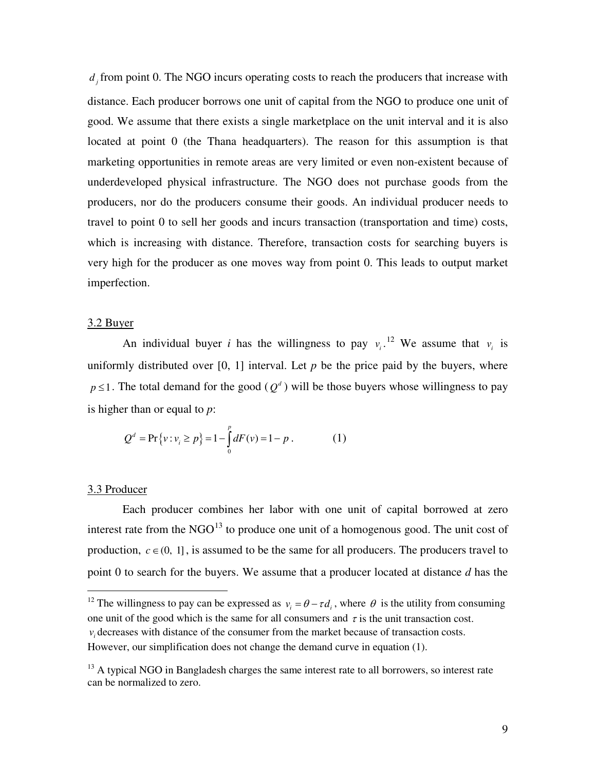$d_j$  from point 0. The NGO incurs operating costs to reach the producers that increase with distance. Each producer borrows one unit of capital from the NGO to produce one unit of good. We assume that there exists a single marketplace on the unit interval and it is also located at point 0 (the Thana headquarters). The reason for this assumption is that marketing opportunities in remote areas are very limited or even non-existent because of underdeveloped physical infrastructure. The NGO does not purchase goods from the producers, nor do the producers consume their goods. An individual producer needs to travel to point 0 to sell her goods and incurs transaction (transportation and time) costs, which is increasing with distance. Therefore, transaction costs for searching buyers is very high for the producer as one moves way from point 0. This leads to output market imperfection.

#### 3.2 Buyer

An individual buyer *i* has the willingness to pay  $v_i$ .<sup>[12](#page-9-0)</sup> We assume that  $v_i$  is uniformly distributed over  $[0, 1]$  interval. Let  $p$  be the price paid by the buyers, where  $p \leq 1$ . The total demand for the good  $(Q^d)$  will be those buyers whose willingness to pay is higher than or equal to *p*:

$$
Q^{d} = \Pr\{v : v_i \ge p\} = 1 - \int_{0}^{p} dF(v) = 1 - p.
$$
 (1)

#### 3.3 Producer

 $\overline{a}$ 

Each producer combines her labor with one unit of capital borrowed at zero interest rate from the NGO $^{13}$  $^{13}$  $^{13}$  to produce one unit of a homogenous good. The unit cost of production,  $c \in (0, 1]$ , is assumed to be the same for all producers. The producers travel to point 0 to search for the buyers. We assume that a producer located at distance *d* has the

<span id="page-9-0"></span><sup>12</sup> The willingness to pay can be expressed as  $v_i = \theta - \tau d_i$ , where  $\theta$  is the utility from consuming one unit of the good which is the same for all consumers and  $\tau$  is the unit transaction cost.  $v_i$  decreases with distance of the consumer from the market because of transaction costs. However, our simplification does not change the demand curve in equation (1).

<span id="page-9-1"></span> $<sup>13</sup>$  A typical NGO in Bangladesh charges the same interest rate to all borrowers, so interest rate</sup> can be normalized to zero.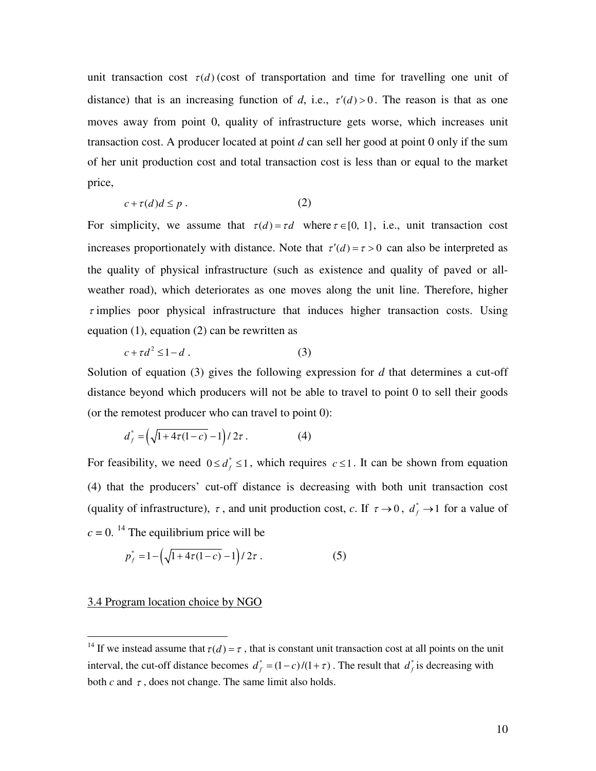unit transaction cost  $\tau(d)$  (cost of transportation and time for travelling one unit of distance) that is an increasing function of *d*, i.e.,  $\tau'(d) > 0$ . The reason is that as one moves away from point 0, quality of infrastructure gets worse, which increases unit transaction cost. A producer located at point *d* can sell her good at point 0 only if the sum of her unit production cost and total transaction cost is less than or equal to the market price,

$$
c + \tau(d)d \le p \tag{2}
$$

For simplicity, we assume that  $\tau(d) = \tau d$  where  $\tau \in [0, 1]$ , i.e., unit transaction cost increases proportionately with distance. Note that  $\tau'(d) = \tau > 0$  can also be interpreted as the quality of physical infrastructure (such as existence and quality of paved or allweather road), which deteriorates as one moves along the unit line. Therefore, higher  $\tau$  implies poor physical infrastructure that induces higher transaction costs. Using equation (1), equation (2) can be rewritten as

$$
c + \tau d^2 \le 1 - d \tag{3}
$$

Solution of equation (3) gives the following expression for *d* that determines a cut-off distance beyond which producers will not be able to travel to point 0 to sell their goods (or the remotest producer who can travel to point 0):

$$
d_f^* = \left(\sqrt{1 + 4\tau(1 - c)} - 1\right) / 2\tau. \tag{4}
$$

For feasibility, we need  $0 \le d_f^* \le 1$ , which requires  $c \le 1$ . It can be shown from equation (4) that the producers' cut-off distance is decreasing with both unit transaction cost (quality of infrastructure),  $\tau$ , and unit production cost, *c*. If  $\tau \to 0$ ,  $d_f^* \to 1$  for a value of  $c = 0$ . <sup>[14](#page-10-0)</sup> The equilibrium price will be

$$
p_f^* = 1 - \left(\sqrt{1 + 4\tau(1 - c)} - 1\right) / 2\tau . \tag{5}
$$

#### 3.4 Program location choice by NGO

<span id="page-10-0"></span><sup>&</sup>lt;sup>14</sup> If we instead assume that  $\tau(d) = \tau$ , that is constant unit transaction cost at all points on the unit interval, the cut-off distance becomes  $d_f^* = (1 - c)/(1 + \tau)$ . The result that  $d_f^*$  is decreasing with both  $c$  and  $\tau$ , does not change. The same limit also holds.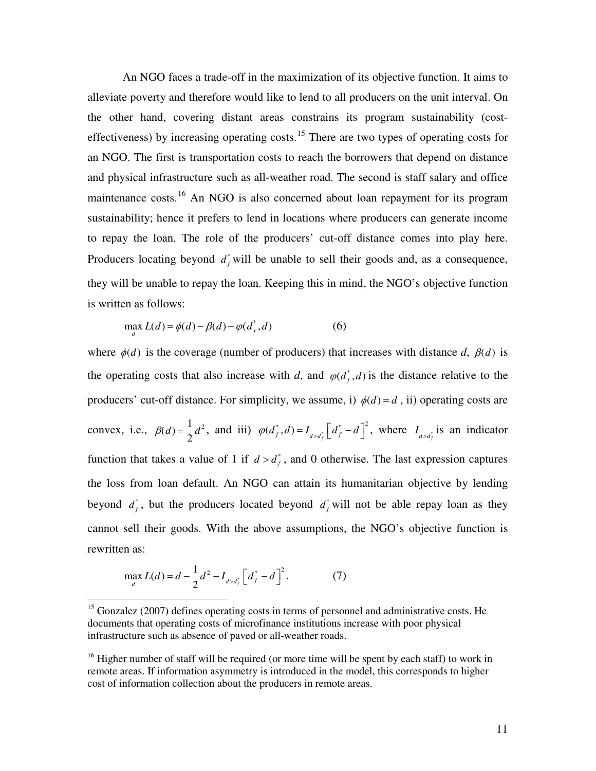An NGO faces a trade-off in the maximization of its objective function. It aims to alleviate poverty and therefore would like to lend to all producers on the unit interval. On the other hand, covering distant areas constrains its program sustainability (cost-effectiveness) by increasing operating costs.<sup>[15](#page-11-0)</sup> There are two types of operating costs for an NGO. The first is transportation costs to reach the borrowers that depend on distance and physical infrastructure such as all-weather road. The second is staff salary and office maintenance costs.<sup>[16](#page-11-1)</sup> An NGO is also concerned about loan repayment for its program Producers locating beyond  $d_f^*$  will be unable to sell their goods and, as a consequence, sustainability; hence it prefers to lend in locations where producers can generate income to repay the loan. The role of the producers' cut-off distance comes into play here. they will be unable to repay the loan. Keeping this in mind, the NGO's objective function is written as follows:

$$
\max_{d} L(d) = \phi(d) - \beta(d) - \phi(d_f^*, d)
$$
 (6)

where  $\phi(d)$  is the coverage (number of producers) that increases with distance *d*,  $\beta(d)$  is the operating costs that also increase with *d*, and  $\varphi(d_f^*, d)$  is the distance relative to the producers' cut-off distance. For simplicity, we assume, i)  $\phi(d) = d$ , ii) operating costs are convex, i.e.,  $\beta(d) = \frac{1}{2}$ 2  $d^2$ , and iii)  $\varphi(d_f^*, d) = I_{d \ge d_f^*} \left[ d_f^* - d \right]^2$ , where  $I_{d \ge d_f^*}$  is an indicator function that takes a value of 1 if  $d > d_f^*$ , and 0 otherwise. The last expression captures the loss from loan default. An NGO can attain its humanitarian objective by lending beyond  $d_f^*$ , but the producers located beyond  $d_f^*$  will not be able repay loan as they cannot sell their goods. With the above assumptions, the NGO's objective function is rewritten as:

$$
\max_{d} L(d) = d - \frac{1}{2}d^2 - I_{d > d_f^*} \left[ d_f^* - d \right]^2.
$$
 (7)

<span id="page-11-0"></span> $15$  Gonzalez (2007) defines operating costs in terms of personnel and administrative costs. He documents that operating costs of microfinance institutions increase with poor physical infrastructure such as absence of paved or all-weather roads.

<span id="page-11-1"></span> $16$  Higher number of staff will be required (or more time will be spent by each staff) to work in remote areas. If information asymmetry is introduced in the model, this corresponds to higher cost of information collection about the producers in remote areas.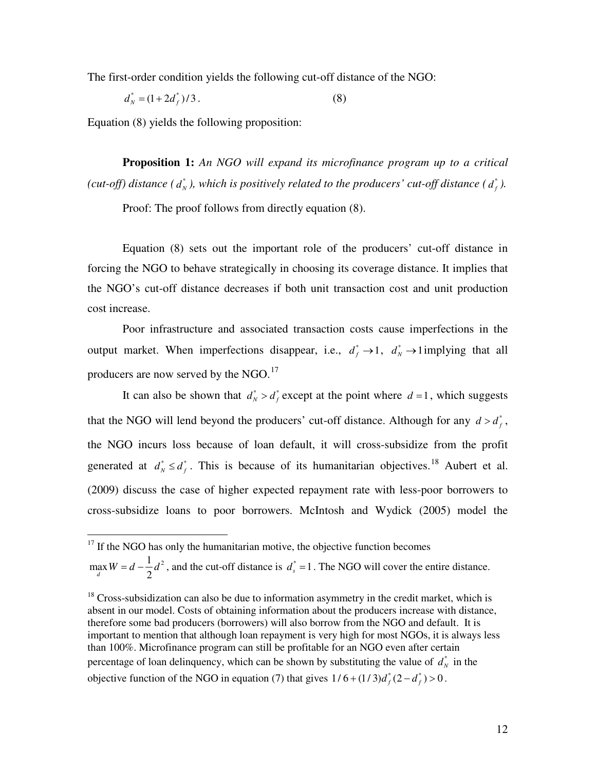The first-order condition yields the following cut-off distance of the NGO:

$$
d_N^* = (1 + 2d_f^*)/3.
$$
 (8)

Equation (8) yields the following proposition:

**Proposition 1:** *An NGO will expand its microfinance program up to a critical (cut-off) distance (*  $d_N^*$ ), which is positively related to the producers' cut-off distance ( $d_f^*$ ).

Proof: The proof follows from directly equation (8).

Equation (8) sets out the important role of the producers' cut-off distance in forcing the NGO to behave strategically in choosing its coverage distance. It implies that the NGO's cut-off distance decreases if both unit transaction cost and unit production cost increase.

Poor infrastructure and associated transaction costs cause imperfections in the output market. When imperfections disappear, i.e.,  $d_f^* \rightarrow 1$ ,  $d_N^* \rightarrow 1$  implying that all producers are now served by the NGO.<sup>[17](#page-12-0)</sup>

It can also be shown that  $d_N^* > d_f^*$  except at the point where  $d = 1$ , which suggests that the NGO will lend beyond the producers' cut-off distance. Although for any  $d > d_f^*$ , the NGO incurs loss because of loan default, it will cross-subsidize from the profit generated at  $d_N^* \leq d_f^*$ . This is because of its humanitarian objectives.<sup>[18](#page-12-1)</sup> Aubert et al. (2009) discuss the case of higher expected repayment rate with less-poor borrowers to cross-subsidize loans to poor borrowers. McIntosh and Wydick (2005) model the

<span id="page-12-0"></span> $17$  If the NGO has only the humanitarian motive, the objective function becomes

 $\max W = d - \frac{1}{2}d^2$ *<sup>d</sup>* 2  $W = d - \frac{1}{2}d^2$ , and the cut-off distance is  $d_s^* = 1$ . The NGO will cover the entire distance.

<span id="page-12-1"></span> $18$  Cross-subsidization can also be due to information asymmetry in the credit market, which is absent in our model. Costs of obtaining information about the producers increase with distance, therefore some bad producers (borrowers) will also borrow from the NGO and default. It is important to mention that although loan repayment is very high for most NGOs, it is always less than 100%. Microfinance program can still be profitable for an NGO even after certain percentage of loan delinquency, which can be shown by substituting the value of  $d_N^*$  in the objective function of the NGO in equation (7) that gives  $1/6 + (1/3) d_f^*(2 - d_f^*) > 0$ .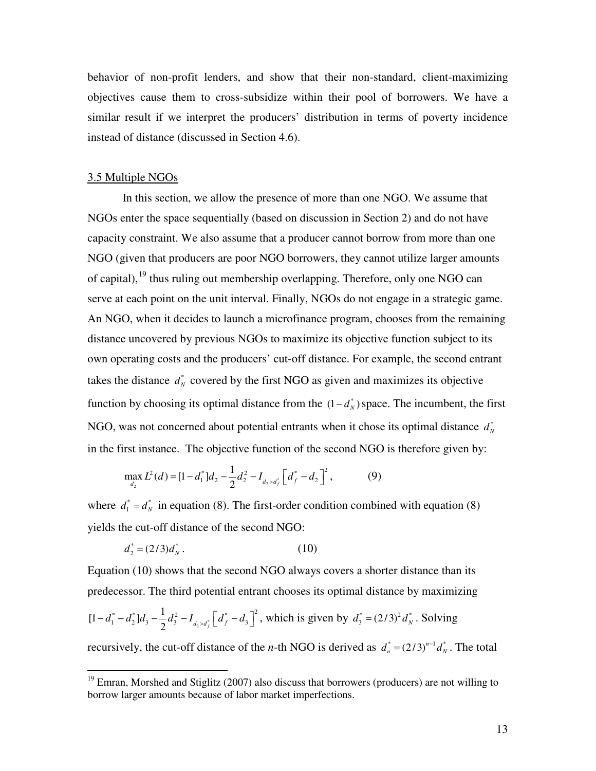behavior of non-profit lenders, and show that their non-standard, client-maximizing objectives cause them to cross-subsidize within their pool of borrowers. We have a similar result if we interpret the producers' distribution in terms of poverty incidence instead of distance (discussed in Section 4.6).

#### 3.5 Multiple NGOs

 $\overline{a}$ 

In this section, we allow the presence of more than one NGO. We assume that NGOs enter the space sequentially (based on discussion in Section 2) and do not have capacity constraint. We also assume that a producer cannot borrow from more than one NGO (given that producers are poor NGO borrowers, they cannot utilize larger amounts of capital), <sup>[19](#page-13-0)</sup> thus ruling out membership overlapping. Therefore, only one NGO can takes the distance  $d_N^*$  covered by the first NGO as given and maximizes its objective serve at each point on the unit interval. Finally, NGOs do not engage in a strategic game. An NGO, when it decides to launch a microfinance program, chooses from the remaining distance uncovered by previous NGOs to maximize its objective function subject to its own operating costs and the producers' cut-off distance. For example, the second entrant function by choosing its optimal distance from the  $(1 - d<sub>N</sub><sup>*</sup>)$  space. The incumbent, the first NGO, was not concerned about potential entrants when it chose its optimal distance  $d_N^*$ in the first instance. The objective function of the second NGO is therefore given by:

$$
\max_{d_2} L^2(d) = [1 - d_1^*]d_2 - \frac{1}{2}d_2^2 - I_{d_2 > d_f^*} \left[ d_f^* - d_2 \right]^2, \tag{9}
$$

where  $d_1^* = d_N^*$  in equation (8). The first-order condition combined with equation (8) yields the cut-off distance of the second NGO:

$$
d_2^* = (2/3)d_N^* \,. \tag{10}
$$

Equation (10) shows that the second NGO always covers a shorter distance than its predecessor. The third potential entrant chooses its optimal distance by maximizing

$$
[1 - d_1^* - d_2^*]d_3 - \frac{1}{2}d_3^2 - I_{d_3 > d_f^*} \left[ d_f^* - d_3 \right]^2
$$
, which is given by  $d_3^* = (2/3)^2 d_N^*$ . Solving

recursively, the cut-off distance of the *n*-th NGO is derived as  $d_n^* = (2/3)^{n-1} d_N^*$ . The total

<span id="page-13-0"></span> $19$  Emran, Morshed and Stiglitz (2007) also discuss that borrowers (producers) are not willing to borrow larger amounts because of labor market imperfections.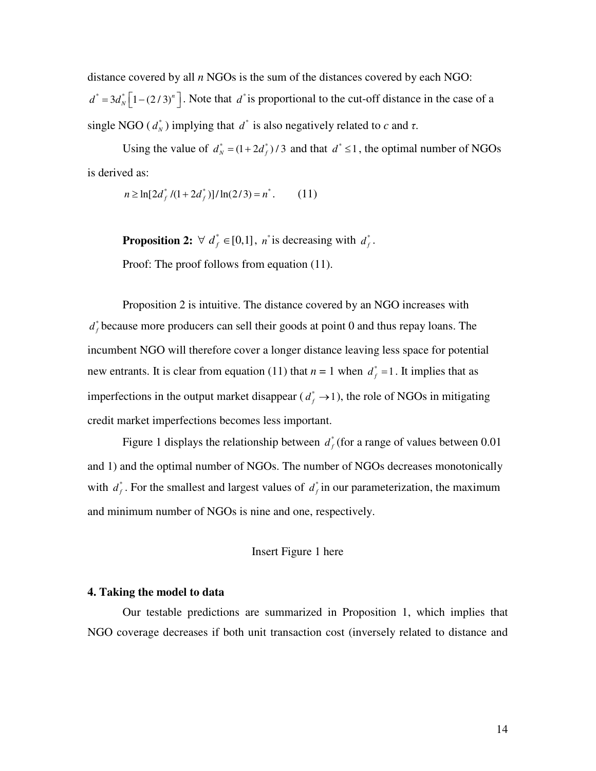distance covered by all *n* NGOs is the sum of the distances covered by each NGO:  $d^* = 3 d_N^* \left[ 1 - (2/3)^n \right]$ . Note that  $d^*$  is proportional to the cut-off distance in the case of a single NGO ( $d_N^*$ ) implying that  $d^*$  is also negatively related to *c* and  $\tau$ .

Using the value of  $d_N^* = (1 + 2d_f^*)/3$  and that  $d^* \le 1$ , the optimal number of NGOs is derived as:

 $n \geq \ln[2 d_f^*/(1 + 2 d_f^*)]/\ln(2/3) = n^*$ . (11)

**Proposition 2:**  $\forall d^*_{f} \in [0,1]$ , *n*<sup>\*</sup> is decreasing with  $d^*_{f}$ .

Proof: The proof follows from equation  $(11)$ .

Proposition 2 is intuitive. The distance covered by an NGO increases with  $d_f^*$  because more producers can sell their goods at point 0 and thus repay loans. The incumbent NGO will therefore cover a longer distance leaving less space for potential new entrants. It is clear from equation (11) that  $n = 1$  when  $d_f^* = 1$ . It implies that as imperfections in the output market disappear ( $d_f^* \rightarrow 1$ ), the role of NGOs in mitigating credit market imperfections becomes less important.

Figure 1 displays the relationship between  $d_f^*$  (for a range of values between 0.01 and 1) and the optimal number of NGOs. The number of NGOs decreases monotonically with  $d_f^*$ . For the smallest and largest values of  $d_f^*$  in our parameterization, the maximum and minimum number of NGOs is nine and one, respectively.

#### Insert Figure 1 here

#### **4. Taking the model to data**

Our testable predictions are summarized in Proposition 1, which implies that NGO coverage decreases if both unit transaction cost (inversely related to distance and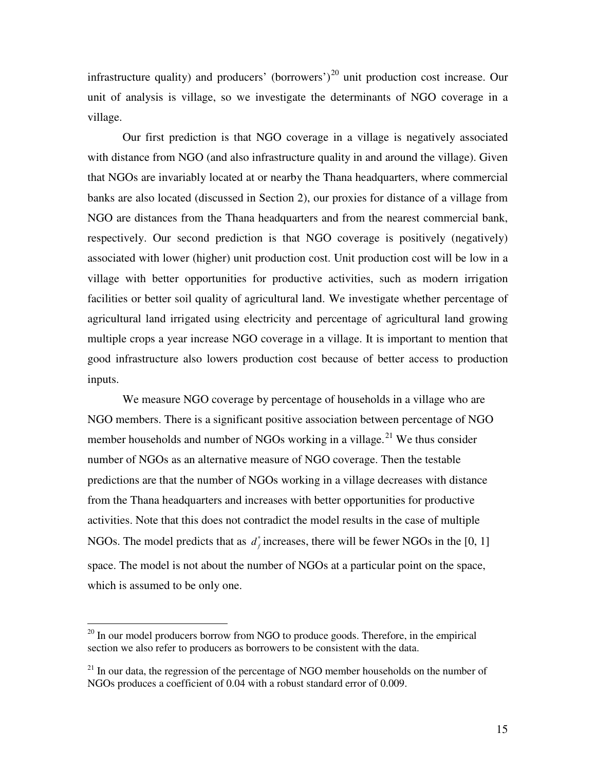infrastructure quality) and producers' (borrowers')<sup>[20](#page-15-0)</sup> unit production cost increase. Our unit of analysis is village, so we investigate the determinants of NGO coverage in a village.

Our first prediction is that NGO coverage in a village is negatively associated with distance from NGO (and also infrastructure quality in and around the village). Given that NGOs are invariably located at or nearby the Thana headquarters, where commercial banks are also located (discussed in Section 2), our proxies for distance of a village from NGO are distances from the Thana headquarters and from the nearest commercial bank, respectively. Our second prediction is that NGO coverage is positively (negatively) associated with lower (higher) unit production cost. Unit production cost will be low in a village with better opportunities for productive activities, such as modern irrigation facilities or better soil quality of agricultural land. We investigate whether percentage of agricultural land irrigated using electricity and percentage of agricultural land growing multiple crops a year increase NGO coverage in a village. It is important to mention that good infrastructure also lowers production cost because of better access to production inputs.

We measure NGO coverage by percentage of households in a village who are NGO members. There is a significant positive association between percentage of NGO member households and number of NGOs working in a village.<sup>[21](#page-15-1)</sup> We thus consider NGOs. The model predicts that as  $d_f^*$  increases, there will be fewer NGOs in the [0, 1] number of NGOs as an alternative measure of NGO coverage. Then the testable predictions are that the number of NGOs working in a village decreases with distance from the Thana headquarters and increases with better opportunities for productive activities. Note that this does not contradict the model results in the case of multiple space. The model is not about the number of NGOs at a particular point on the space, which is assumed to be only one.

<span id="page-15-0"></span> $20$  In our model producers borrow from NGO to produce goods. Therefore, in the empirical section we also refer to producers as borrowers to be consistent with the data.

<span id="page-15-1"></span> $^{21}$  In our data, the regression of the percentage of NGO member households on the number of NGOs produces a coefficient of 0.04 with a robust standard error of 0.009.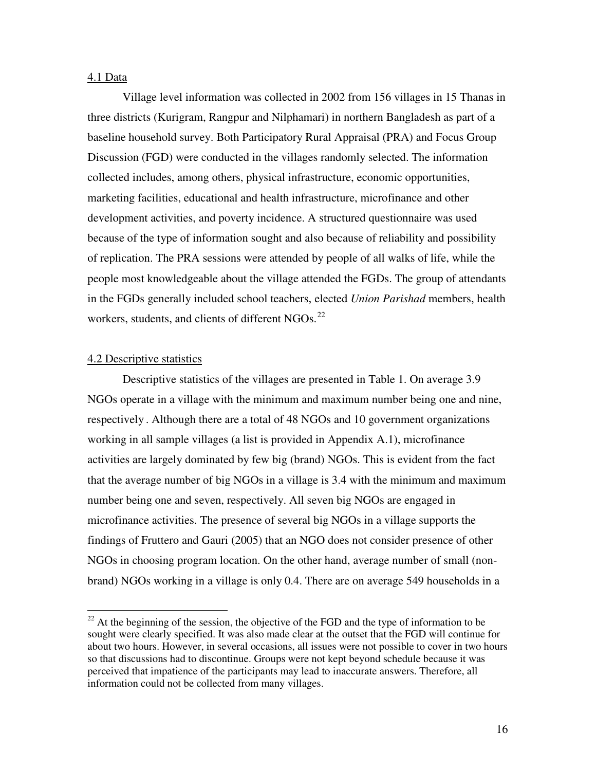#### 4.1 Data

Village level information was collected in 2002 from 156 villages in 15 Thanas in three districts (Kurigram, Rangpur and Nilphamari) in northern Bangladesh as part of a baseline household survey. Both Participatory Rural Appraisal (PRA) and Focus Group Discussion (FGD) were conducted in the villages randomly selected. The information collected includes, among others, physical infrastructure, economic opportunities, marketing facilities, educational and health infrastructure, microfinance and other development activities, and poverty incidence. A structured questionnaire was used because of the type of information sought and also because of reliability and possibility of replication. The PRA sessions were attended by people of all walks of life, while the people most knowledgeable about the village attended the FGDs. The group of attendants in the FGDs generally included school teachers, elected *Union Parishad* members, health workers, students, and clients of different NGOs. $^{22}$  $^{22}$  $^{22}$ 

#### 4.2 Descriptive statistics

 $\overline{a}$ 

Descriptive statistics of the villages are presented in Table 1. On average 3.9 NGOs operate in a village with the minimum and maximum number being one and nine, respectively . Although there are a total of 48 NGOs and 10 government organizations working in all sample villages (a list is provided in Appendix A.1), microfinance activities are largely dominated by few big (brand) NGOs. This is evident from the fact that the average number of big NGOs in a village is 3.4 with the minimum and maximum number being one and seven, respectively. All seven big NGOs are engaged in microfinance activities. The presence of several big NGOs in a village supports the findings of Fruttero and Gauri (2005) that an NGO does not consider presence of other NGOs in choosing program location. On the other hand, average number of small (nonbrand) NGOs working in a village is only 0.4. There are on average 549 households in a

<span id="page-16-0"></span> $2<sup>22</sup>$  At the beginning of the session, the objective of the FGD and the type of information to be sought were clearly specified. It was also made clear at the outset that the FGD will continue for about two hours. However, in several occasions, all issues were not possible to cover in two hours so that discussions had to discontinue. Groups were not kept beyond schedule because it was perceived that impatience of the participants may lead to inaccurate answers. Therefore, all information could not be collected from many villages.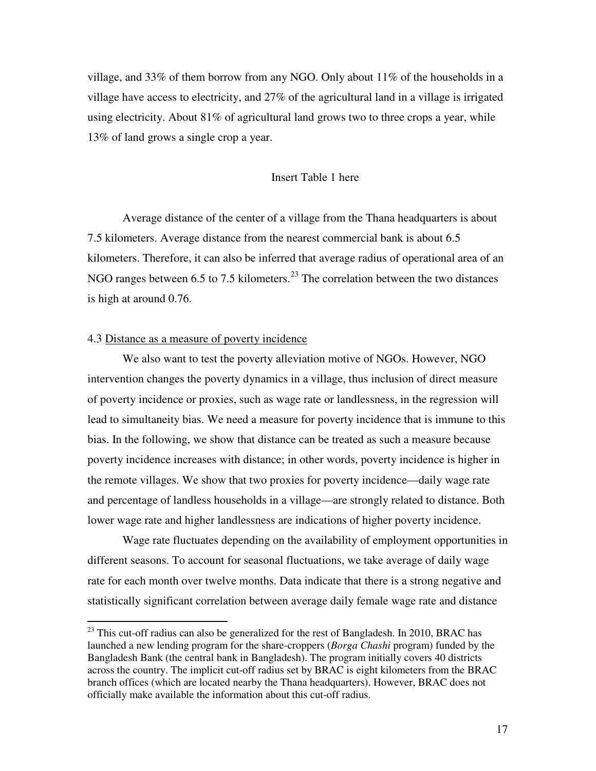village, and 33% of them borrow from any NGO. Only about  $11\%$  of the households in a village have access to electricity, and 27% of the agricultural land in a village is irrigated using electricity. About 81% of agricultural land grows two to three crops a year, while 13% of land grows a single crop a year.

#### Insert Table 1 here

Average distance of the center of a village from the Thana headquarters is about 7.5 kilometers. Average distance from the nearest commercial bank is about 6.5 kilometers. Therefore, it can also be inferred that average radius of operational area of an NGO ranges between 6.5 to 7.5 kilometers.<sup>[23](#page-17-0)</sup> The correlation between the two distances is high at around 0.76.

#### 4.3 Distance as a measure of poverty incidence

 $\overline{a}$ 

 We also want to test the poverty alleviation motive of NGOs. However, NGO intervention changes the poverty dynamics in a village, thus inclusion of direct measure of poverty incidence or proxies, such as wage rate or landlessness, in the regression will lead to simultaneity bias. We need a measure for poverty incidence that is immune to this bias. In the following, we show that distance can be treated as such a measure because poverty incidence increases with distance; in other words, poverty incidence is higher in the remote villages. We show that two proxies for poverty incidence—daily wage rate and percentage of landless households in a village—are strongly related to distance. Both lower wage rate and higher landlessness are indications of higher poverty incidence.

Wage rate fluctuates depending on the availability of employment opportunities in different seasons. To account for seasonal fluctuations, we take average of daily wage rate for each month over twelve months. Data indicate that there is a strong negative and statistically significant correlation between average daily female wage rate and distance

<span id="page-17-0"></span> $^{23}$  This cut-off radius can also be generalized for the rest of Bangladesh. In 2010, BRAC has launched a new lending program for the share-croppers (*Borga Chashi* program) funded by the Bangladesh Bank (the central bank in Bangladesh). The program initially covers 40 districts across the country. The implicit cut-off radius set by BRAC is eight kilometers from the BRAC branch offices (which are located nearby the Thana headquarters). However, BRAC does not officially make available the information about this cut-off radius.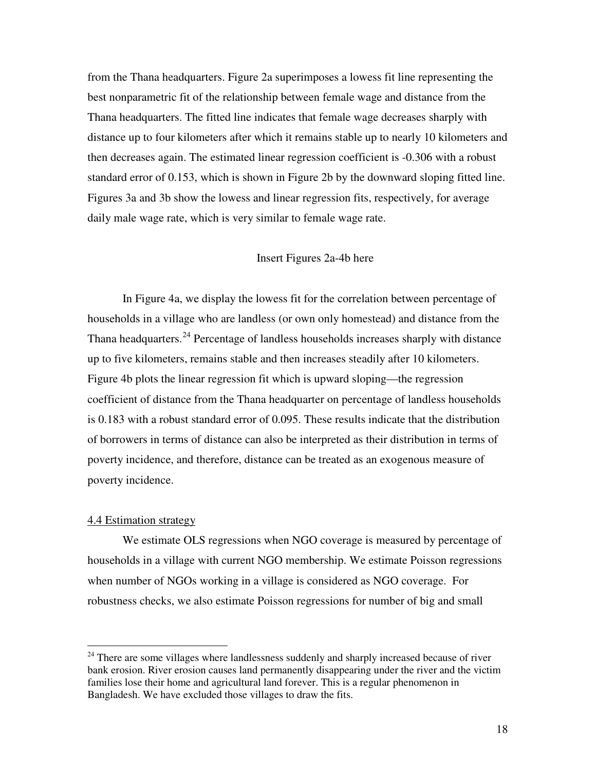from the Thana headquarters. Figure 2a superimposes a lowess fit line representing the best nonparametric fit of the relationship between female wage and distance from the Thana headquarters. The fitted line indicates that female wage decreases sharply with distance up to four kilometers after which it remains stable up to nearly 10 kilometers and then decreases again. The estimated linear regression coefficient is -0.306 with a robust standard error of 0.153, which is shown in Figure 2b by the downward sloping fitted line. Figures 3a and 3b show the lowess and linear regression fits, respectively, for average daily male wage rate, which is very similar to female wage rate.

#### Insert Figures 2a-4b here

In Figure 4a, we display the lowess fit for the correlation between percentage of households in a village who are landless (or own only homestead) and distance from the Thana headquarters.<sup>[24](#page-18-0)</sup> Percentage of landless households increases sharply with distance up to five kilometers, remains stable and then increases steadily after 10 kilometers. Figure 4b plots the linear regression fit which is upward sloping—the regression coefficient of distance from the Thana headquarter on percentage of landless households is 0.183 with a robust standard error of 0.095. These results indicate that the distribution of borrowers in terms of distance can also be interpreted as their distribution in terms of poverty incidence, and therefore, distance can be treated as an exogenous measure of poverty incidence.

#### 4.4 Estimation strategy

 $\overline{a}$ 

We estimate OLS regressions when NGO coverage is measured by percentage of households in a village with current NGO membership. We estimate Poisson regressions when number of NGOs working in a village is considered as NGO coverage. For robustness checks, we also estimate Poisson regressions for number of big and small

<span id="page-18-0"></span> $24$  There are some villages where landlessness suddenly and sharply increased because of river bank erosion. River erosion causes land permanently disappearing under the river and the victim families lose their home and agricultural land forever. This is a regular phenomenon in Bangladesh. We have excluded those villages to draw the fits.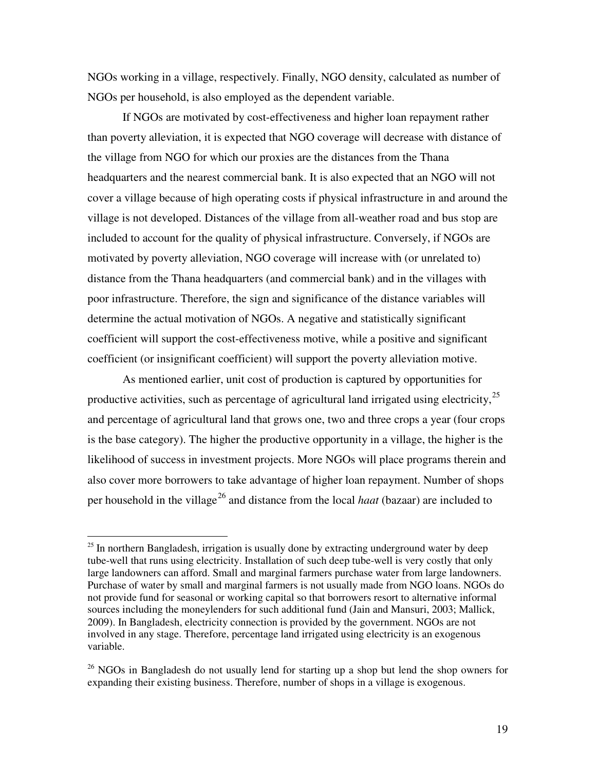NGOs working in a village, respectively. Finally, NGO density, calculated as number of NGOs per household, is also employed as the dependent variable.

If NGOs are motivated by cost-effectiveness and higher loan repayment rather than poverty alleviation, it is expected that NGO coverage will decrease with distance of the village from NGO for which our proxies are the distances from the Thana headquarters and the nearest commercial bank. It is also expected that an NGO will not cover a village because of high operating costs if physical infrastructure in and around the village is not developed. Distances of the village from all-weather road and bus stop are included to account for the quality of physical infrastructure. Conversely, if NGOs are motivated by poverty alleviation, NGO coverage will increase with (or unrelated to) distance from the Thana headquarters (and commercial bank) and in the villages with poor infrastructure. Therefore, the sign and significance of the distance variables will determine the actual motivation of NGOs. A negative and statistically significant coefficient will support the cost-effectiveness motive, while a positive and significant coefficient (or insignificant coefficient) will support the poverty alleviation motive.

As mentioned earlier, unit cost of production is captured by opportunities for productive activities, such as percentage of agricultural land irrigated using electricity,  $2^5$ and percentage of agricultural land that grows one, two and three crops a year (four crops is the base category). The higher the productive opportunity in a village, the higher is the likelihood of success in investment projects. More NGOs will place programs therein and also cover more borrowers to take advantage of higher loan repayment. Number of shops per household in the village<sup>[26](#page-19-1)</sup> and distance from the local *haat* (bazaar) are included to

<u>.</u>

<span id="page-19-0"></span> $25$  In northern Bangladesh, irrigation is usually done by extracting underground water by deep tube-well that runs using electricity. Installation of such deep tube-well is very costly that only large landowners can afford. Small and marginal farmers purchase water from large landowners. Purchase of water by small and marginal farmers is not usually made from NGO loans. NGOs do not provide fund for seasonal or working capital so that borrowers resort to alternative informal sources including the moneylenders for such additional fund (Jain and Mansuri, 2003; Mallick, 2009). In Bangladesh, electricity connection is provided by the government. NGOs are not involved in any stage. Therefore, percentage land irrigated using electricity is an exogenous variable.

<span id="page-19-1"></span><sup>&</sup>lt;sup>26</sup> NGOs in Bangladesh do not usually lend for starting up a shop but lend the shop owners for expanding their existing business. Therefore, number of shops in a village is exogenous.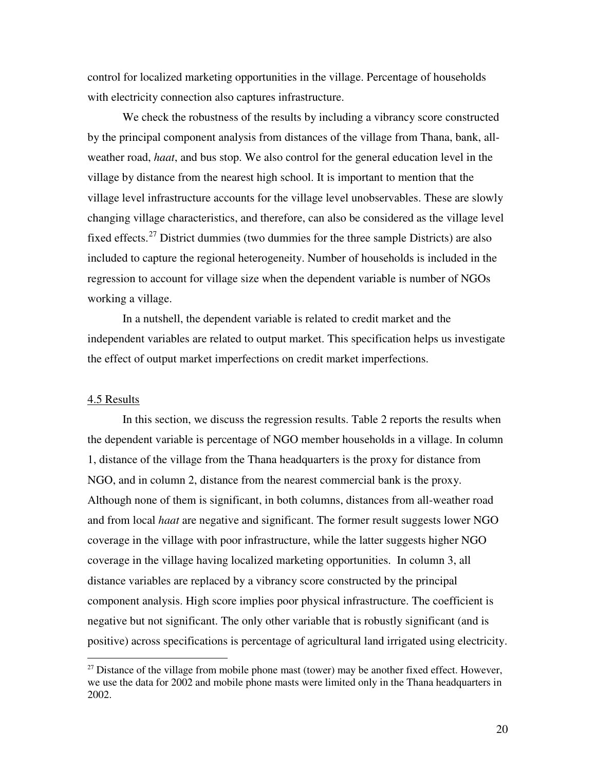control for localized marketing opportunities in the village. Percentage of households with electricity connection also captures infrastructure.

We check the robustness of the results by including a vibrancy score constructed by the principal component analysis from distances of the village from Thana, bank, allweather road, *haat*, and bus stop. We also control for the general education level in the village by distance from the nearest high school. It is important to mention that the village level infrastructure accounts for the village level unobservables. These are slowly changing village characteristics, and therefore, can also be considered as the village level fixed effects.<sup>[27](#page-20-0)</sup> District dummies (two dummies for the three sample Districts) are also included to capture the regional heterogeneity. Number of households is included in the regression to account for village size when the dependent variable is number of NGOs working a village.

In a nutshell, the dependent variable is related to credit market and the independent variables are related to output market. This specification helps us investigate the effect of output market imperfections on credit market imperfections.

#### 4.5 Results

 $\overline{a}$ 

 In this section, we discuss the regression results. Table 2 reports the results when the dependent variable is percentage of NGO member households in a village. In column 1, distance of the village from the Thana headquarters is the proxy for distance from NGO, and in column 2, distance from the nearest commercial bank is the proxy. Although none of them is significant, in both columns, distances from all-weather road and from local *haat* are negative and significant. The former result suggests lower NGO coverage in the village with poor infrastructure, while the latter suggests higher NGO coverage in the village having localized marketing opportunities. In column 3, all distance variables are replaced by a vibrancy score constructed by the principal component analysis. High score implies poor physical infrastructure. The coefficient is negative but not significant. The only other variable that is robustly significant (and is positive) across specifications is percentage of agricultural land irrigated using electricity.

<span id="page-20-0"></span> $27$  Distance of the village from mobile phone mast (tower) may be another fixed effect. However, we use the data for 2002 and mobile phone masts were limited only in the Thana headquarters in 2002.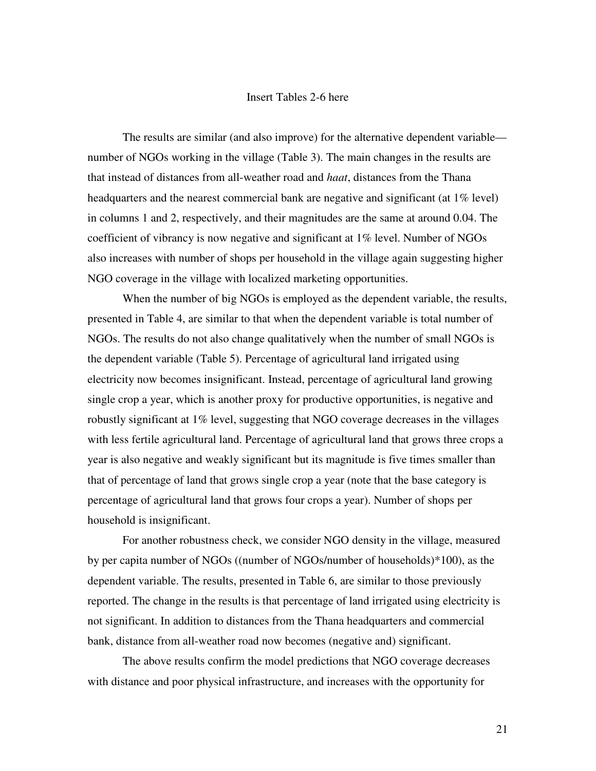#### Insert Tables 2-6 here

The results are similar (and also improve) for the alternative dependent variable number of NGOs working in the village (Table 3). The main changes in the results are that instead of distances from all-weather road and *haat*, distances from the Thana headquarters and the nearest commercial bank are negative and significant (at 1% level) in columns 1 and 2, respectively, and their magnitudes are the same at around 0.04. The coefficient of vibrancy is now negative and significant at 1% level. Number of NGOs also increases with number of shops per household in the village again suggesting higher NGO coverage in the village with localized marketing opportunities.

When the number of big NGOs is employed as the dependent variable, the results, presented in Table 4, are similar to that when the dependent variable is total number of NGOs. The results do not also change qualitatively when the number of small NGOs is the dependent variable (Table 5). Percentage of agricultural land irrigated using electricity now becomes insignificant. Instead, percentage of agricultural land growing single crop a year, which is another proxy for productive opportunities, is negative and robustly significant at 1% level, suggesting that NGO coverage decreases in the villages with less fertile agricultural land. Percentage of agricultural land that grows three crops a year is also negative and weakly significant but its magnitude is five times smaller than that of percentage of land that grows single crop a year (note that the base category is percentage of agricultural land that grows four crops a year). Number of shops per household is insignificant.

For another robustness check, we consider NGO density in the village, measured by per capita number of NGOs ((number of NGOs/number of households)\*100), as the dependent variable. The results, presented in Table 6, are similar to those previously reported. The change in the results is that percentage of land irrigated using electricity is not significant. In addition to distances from the Thana headquarters and commercial bank, distance from all-weather road now becomes (negative and) significant.

The above results confirm the model predictions that NGO coverage decreases with distance and poor physical infrastructure, and increases with the opportunity for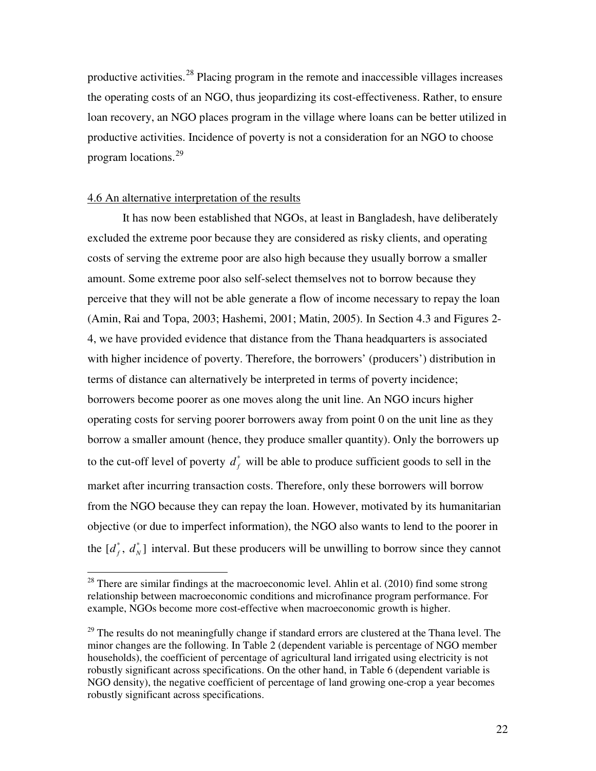productive activities.[28](#page-22-0) Placing program in the remote and inaccessible villages increases the operating costs of an NGO, thus jeopardizing its cost-effectiveness. Rather, to ensure loan recovery, an NGO places program in the village where loans can be better utilized in productive activities. Incidence of poverty is not a consideration for an NGO to choose program locations.<sup>[29](#page-22-1)</sup>

#### 4.6 An alternative interpretation of the results

 $\overline{a}$ 

It has now been established that NGOs, at least in Bangladesh, have deliberately excluded the extreme poor because they are considered as risky clients, and operating costs of serving the extreme poor are also high because they usually borrow a smaller amount. Some extreme poor also self-select themselves not to borrow because they perceive that they will not be able generate a flow of income necessary to repay the loan (Amin, Rai and Topa, 2003; Hashemi, 2001; Matin, 2005). In Section 4.3 and Figures 2- 4, we have provided evidence that distance from the Thana headquarters is associated with higher incidence of poverty. Therefore, the borrowers' (producers') distribution in terms of distance can alternatively be interpreted in terms of poverty incidence; borrowers become poorer as one moves along the unit line. An NGO incurs higher operating costs for serving poorer borrowers away from point 0 on the unit line as they borrow a smaller amount (hence, they produce smaller quantity). Only the borrowers up to the cut-off level of poverty  $d_f^*$  will be able to produce sufficient goods to sell in the market after incurring transaction costs. Therefore, only these borrowers will borrow from the NGO because they can repay the loan. However, motivated by its humanitarian objective (or due to imperfect information), the NGO also wants to lend to the poorer in the  $[d_f^*, d_N^*]$  interval. But these producers will be unwilling to borrow since they cannot

<span id="page-22-0"></span> $28$  There are similar findings at the macroeconomic level. Ahlin et al. (2010) find some strong relationship between macroeconomic conditions and microfinance program performance. For example, NGOs become more cost-effective when macroeconomic growth is higher.

<span id="page-22-1"></span><sup>&</sup>lt;sup>29</sup> The results do not meaningfully change if standard errors are clustered at the Thana level. The minor changes are the following. In Table 2 (dependent variable is percentage of NGO member households), the coefficient of percentage of agricultural land irrigated using electricity is not robustly significant across specifications. On the other hand, in Table 6 (dependent variable is NGO density), the negative coefficient of percentage of land growing one-crop a year becomes robustly significant across specifications.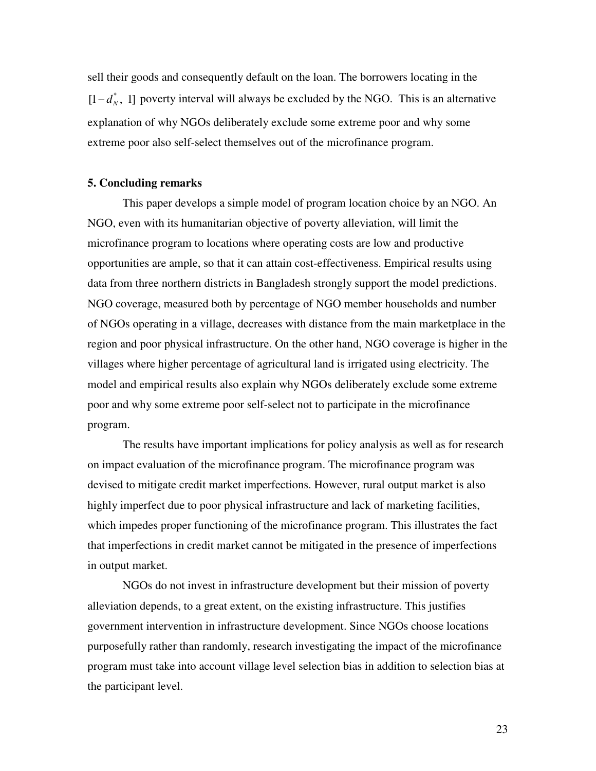sell their goods and consequently default on the loan. The borrowers locating in the  $[1 - d<sub>N</sub><sup>*</sup>, 1]$  poverty interval will always be excluded by the NGO. This is an alternative explanation of why NGOs deliberately exclude some extreme poor and why some extreme poor also self-select themselves out of the microfinance program.

#### **5. Concluding remarks**

 This paper develops a simple model of program location choice by an NGO. An NGO, even with its humanitarian objective of poverty alleviation, will limit the microfinance program to locations where operating costs are low and productive opportunities are ample, so that it can attain cost-effectiveness. Empirical results using data from three northern districts in Bangladesh strongly support the model predictions. NGO coverage, measured both by percentage of NGO member households and number of NGOs operating in a village, decreases with distance from the main marketplace in the region and poor physical infrastructure. On the other hand, NGO coverage is higher in the villages where higher percentage of agricultural land is irrigated using electricity. The model and empirical results also explain why NGOs deliberately exclude some extreme poor and why some extreme poor self-select not to participate in the microfinance program.

The results have important implications for policy analysis as well as for research on impact evaluation of the microfinance program. The microfinance program was devised to mitigate credit market imperfections. However, rural output market is also highly imperfect due to poor physical infrastructure and lack of marketing facilities, which impedes proper functioning of the microfinance program. This illustrates the fact that imperfections in credit market cannot be mitigated in the presence of imperfections in output market.

NGOs do not invest in infrastructure development but their mission of poverty alleviation depends, to a great extent, on the existing infrastructure. This justifies government intervention in infrastructure development. Since NGOs choose locations purposefully rather than randomly, research investigating the impact of the microfinance program must take into account village level selection bias in addition to selection bias at the participant level.

23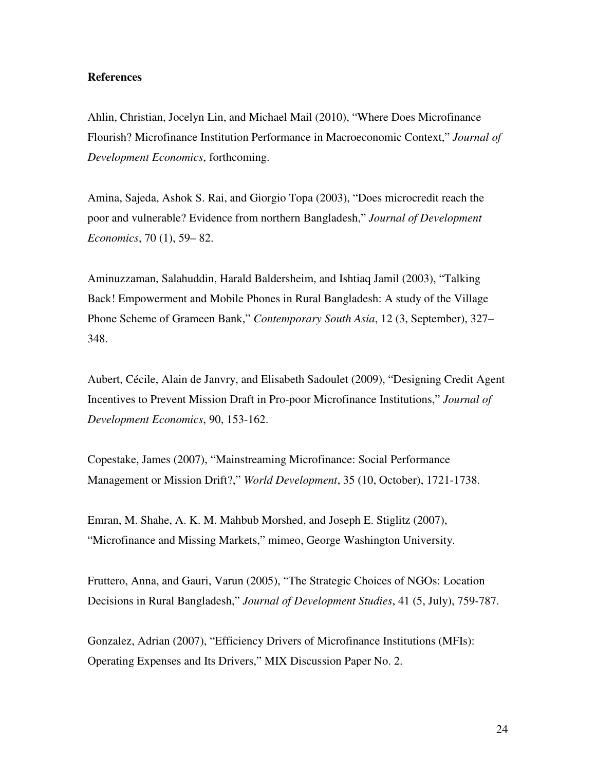#### **References**

Ahlin, Christian, Jocelyn Lin, and Michael Mail (2010), "Where Does Microfinance Flourish? Microfinance Institution Performance in Macroeconomic Context," *Journal of Development Economics*, forthcoming.

Amina, Sajeda, Ashok S. Rai, and Giorgio Topa (2003), "Does microcredit reach the poor and vulnerable? Evidence from northern Bangladesh," *Journal of Development Economics*, 70 (1), 59– 82.

Aminuzzaman, Salahuddin, Harald Baldersheim, and Ishtiaq Jamil (2003), "Talking Back! Empowerment and Mobile Phones in Rural Bangladesh: A study of the Village Phone Scheme of Grameen Bank," *Contemporary South Asia*, 12 (3, September), 327– 348.

Aubert, Cécile, Alain de Janvry, and Elisabeth Sadoulet (2009), "Designing Credit Agent Incentives to Prevent Mission Draft in Pro-poor Microfinance Institutions," *Journal of Development Economics*, 90, 153-162.

Copestake, James (2007), "Mainstreaming Microfinance: Social Performance Management or Mission Drift?," *World Development*, 35 (10, October), 1721-1738.

Emran, M. Shahe, A. K. M. Mahbub Morshed, and Joseph E. Stiglitz (2007), "Microfinance and Missing Markets," mimeo, George Washington University.

Fruttero, Anna, and Gauri, Varun (2005), "The Strategic Choices of NGOs: Location Decisions in Rural Bangladesh," *Journal of Development Studies*, 41 (5, July), 759-787.

Gonzalez, Adrian (2007), "Efficiency Drivers of Microfinance Institutions (MFIs): Operating Expenses and Its Drivers," MIX Discussion Paper No. 2.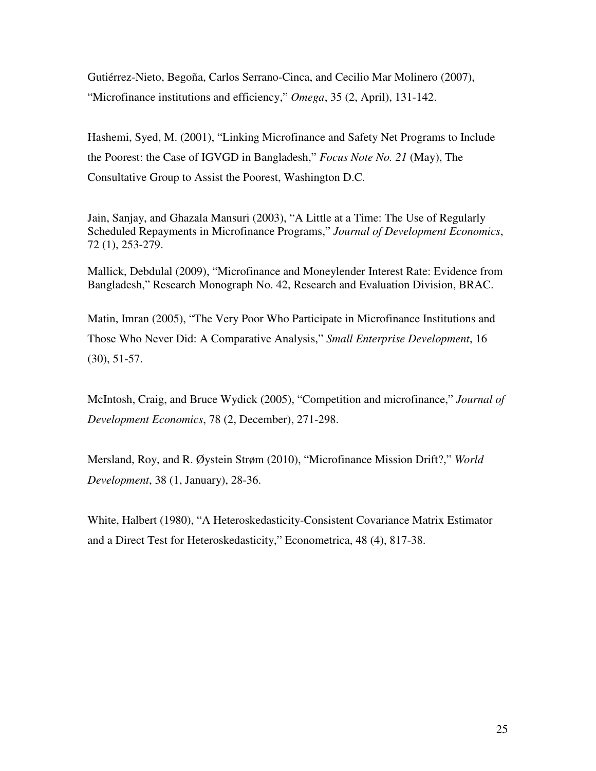Gutiérrez-Nieto, Begoña, Carlos Serrano-Cinca, and Cecilio Mar Molinero (2007), "Microfinance institutions and efficiency," *Omega*, 35 (2, April), 131-142.

Hashemi, Syed, M. (2001), "Linking Microfinance and Safety Net Programs to Include the Poorest: the Case of IGVGD in Bangladesh," *Focus Note No. 21* (May), The Consultative Group to Assist the Poorest, Washington D.C.

Jain, Sanjay, and Ghazala Mansuri (2003), "A Little at a Time: The Use of Regularly Scheduled Repayments in Microfinance Programs," *Journal of Development Economics*, 72 (1), 253-279.

Mallick, Debdulal (2009), "Microfinance and Moneylender Interest Rate: Evidence from Bangladesh," Research Monograph No. 42, Research and Evaluation Division, BRAC.

Matin, Imran (2005), "The Very Poor Who Participate in Microfinance Institutions and Those Who Never Did: A Comparative Analysis," *Small Enterprise Development*, 16 (30), 51-57.

McIntosh, Craig, and Bruce Wydick (2005), "Competition and microfinance," *Journal of Development Economics*, 78 (2, December), 271-298.

Mersland, Roy, and R. Øystein Strøm (2010), "Microfinance Mission Drift?," *World Development*, 38 (1, January), 28-36.

White, Halbert (1980), "A Heteroskedasticity-Consistent Covariance Matrix Estimator and a Direct Test for Heteroskedasticity," Econometrica, 48 (4), 817-38.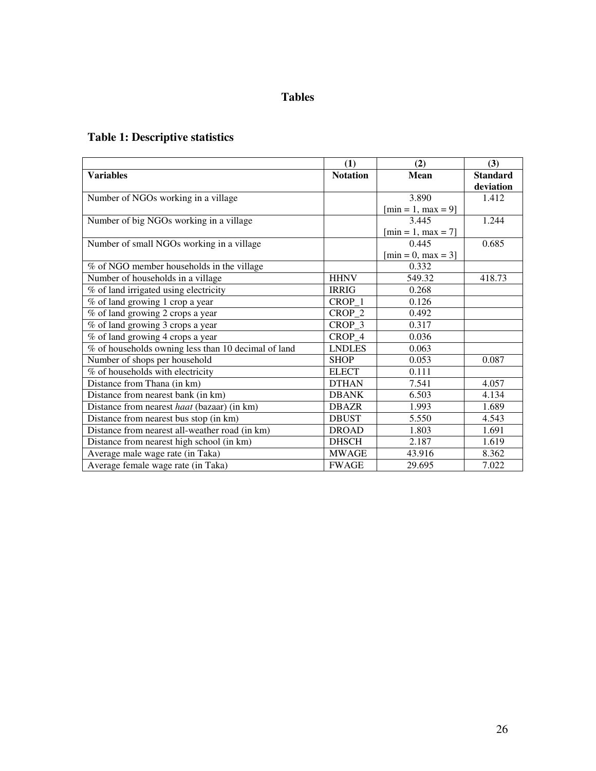#### **Tables**

# **Table 1: Descriptive statistics**

|                                                     | (1)             | (2)                  | (3)             |
|-----------------------------------------------------|-----------------|----------------------|-----------------|
| <b>Variables</b>                                    | <b>Notation</b> | <b>Mean</b>          | <b>Standard</b> |
|                                                     |                 |                      | deviation       |
| Number of NGOs working in a village                 |                 | 3.890                | 1.412           |
|                                                     |                 | $[min = 1, max = 9]$ |                 |
| Number of big NGOs working in a village             |                 | 3.445                | 1.244           |
|                                                     |                 | $[min = 1, max = 7]$ |                 |
| Number of small NGOs working in a village           |                 | 0.445                | 0.685           |
|                                                     |                 | $[min = 0, max = 3]$ |                 |
| % of NGO member households in the village           |                 | 0.332                |                 |
| Number of households in a village                   | <b>HHNV</b>     | 549.32               | 418.73          |
| % of land irrigated using electricity               | <b>IRRIG</b>    | 0.268                |                 |
| % of land growing 1 crop a year                     | CROP_1          | 0.126                |                 |
| % of land growing 2 crops a year                    | CROP_2          | 0.492                |                 |
| % of land growing 3 crops a year                    | $CROP_3$        | 0.317                |                 |
| $\overline{\%}$ of land growing 4 crops a year      | CROP_4          | 0.036                |                 |
| % of households owning less than 10 decimal of land | <b>LNDLES</b>   | 0.063                |                 |
| Number of shops per household                       | <b>SHOP</b>     | 0.053                | 0.087           |
| % of households with electricity                    | <b>ELECT</b>    | 0.111                |                 |
| Distance from Thana (in km)                         | <b>DTHAN</b>    | 7.541                | 4.057           |
| Distance from nearest bank (in km)                  | <b>DBANK</b>    | 6.503                | 4.134           |
| Distance from nearest haat (bazaar) (in km)         | <b>DBAZR</b>    | 1.993                | 1.689           |
| Distance from nearest bus stop (in km)              | <b>DBUST</b>    | 5.550                | 4.543           |
| Distance from nearest all-weather road (in km)      | <b>DROAD</b>    | 1.803                | 1.691           |
| Distance from nearest high school (in km)           | <b>DHSCH</b>    | 2.187                | 1.619           |
| Average male wage rate (in Taka)                    | <b>MWAGE</b>    | 43.916               | 8.362           |
| Average female wage rate (in Taka)                  | <b>FWAGE</b>    | 29.695               | 7.022           |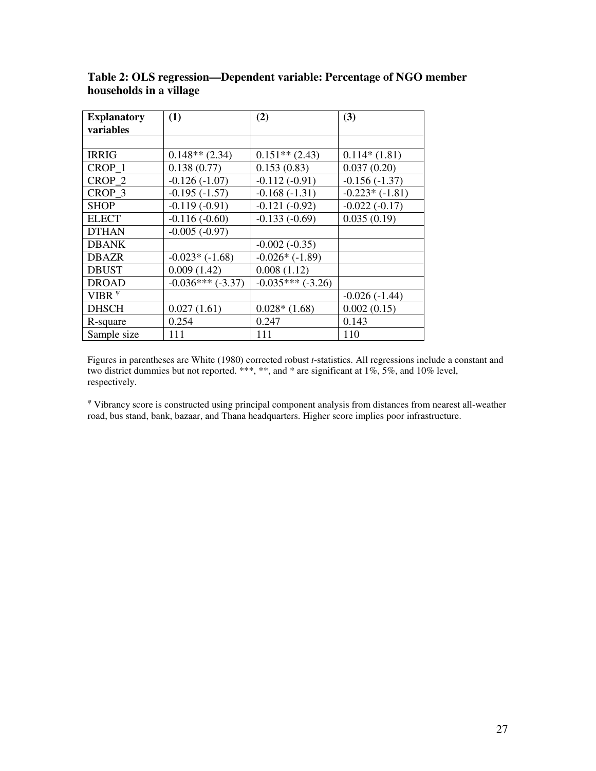| <b>Explanatory</b> | (1)                | (2)                 | (3)              |
|--------------------|--------------------|---------------------|------------------|
| variables          |                    |                     |                  |
|                    |                    |                     |                  |
| <b>IRRIG</b>       | $0.148**$ (2.34)   | $0.151**$ (2.43)    | $0.114*(1.81)$   |
| $CROP_1$           | 0.138(0.77)        | 0.153(0.83)         | 0.037(0.20)      |
| CROP_2             | $-0.126(-1.07)$    | $-0.112(-0.91)$     | $-0.156(-1.37)$  |
| CROP 3             | $-0.195(-1.57)$    | $-0.168(-1.31)$     | $-0.223*(-1.81)$ |
| <b>SHOP</b>        | $-0.119(-0.91)$    | $-0.121(-0.92)$     | $-0.022(-0.17)$  |
| <b>ELECT</b>       | $-0.116(-0.60)$    | $-0.133(-0.69)$     | 0.035(0.19)      |
| <b>DTHAN</b>       | $-0.005(-0.97)$    |                     |                  |
| <b>DBANK</b>       |                    | $-0.002(-0.35)$     |                  |
| <b>DBAZR</b>       | $-0.023*(-1.68)$   | $-0.026*(-1.89)$    |                  |
| <b>DBUST</b>       | 0.009(1.42)        | 0.008(1.12)         |                  |
| <b>DROAD</b>       | $-0.036***(-3.37)$ | $-0.035***$ (-3.26) |                  |
| VIBR $\Psi$        |                    |                     | $-0.026(-1.44)$  |
| <b>DHSCH</b>       | 0.027(1.61)        | $0.028*(1.68)$      | 0.002(0.15)      |
| R-square           | 0.254              | 0.247               | 0.143            |
| Sample size        | 111                | 111                 | 110              |

**Table 2: OLS regression—Dependent variable: Percentage of NGO member households in a village** 

Figures in parentheses are White (1980) corrected robust *t*-statistics. All regressions include a constant and two district dummies but not reported. \*\*\*, \*\*, and \* are significant at 1%, 5%, and 10% level, respectively.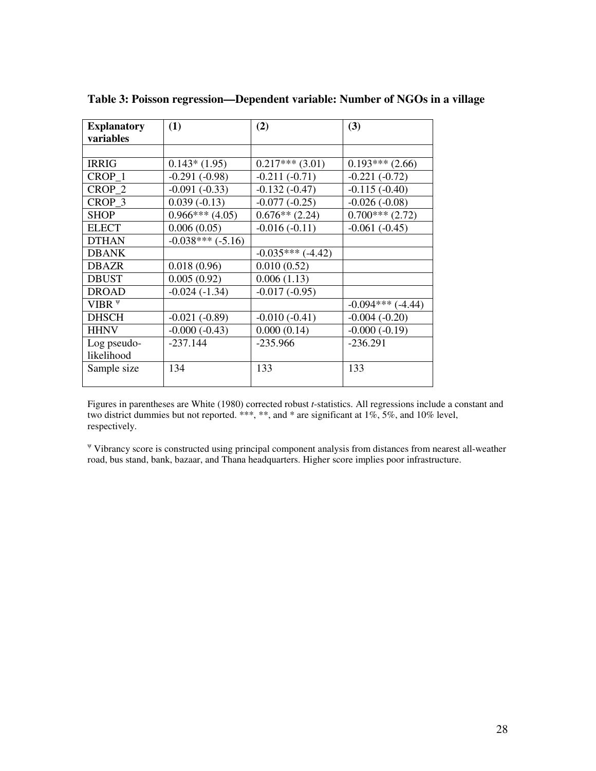| <b>Explanatory</b><br>variables | (1)                | (2)                 | (3)                 |
|---------------------------------|--------------------|---------------------|---------------------|
|                                 |                    |                     |                     |
| <b>IRRIG</b>                    | $0.143*(1.95)$     | $0.217***(3.01)$    | $0.193***(2.66)$    |
| CROP 1                          | $-0.291(-0.98)$    | $-0.211(-0.71)$     | $-0.221(-0.72)$     |
| $CROP_2$                        | $-0.091(-0.33)$    | $-0.132(-0.47)$     | $-0.115(-0.40)$     |
| CROP <sub>3</sub>               | $0.039(-0.13)$     | $-0.077(-0.25)$     | $-0.026(-0.08)$     |
| <b>SHOP</b>                     | $0.966***(4.05)$   | $0.676**$ (2.24)    | $0.700***(2.72)$    |
| <b>ELECT</b>                    | 0.006(0.05)        | $-0.016(-0.11)$     | $-0.061(-0.45)$     |
| <b>DTHAN</b>                    | $-0.038***(-5.16)$ |                     |                     |
| <b>DBANK</b>                    |                    | $-0.035***$ (-4.42) |                     |
| <b>DBAZR</b>                    | 0.018(0.96)        | 0.010(0.52)         |                     |
| <b>DBUST</b>                    | 0.005(0.92)        | 0.006(1.13)         |                     |
| <b>DROAD</b>                    | $-0.024(-1.34)$    | $-0.017(-0.95)$     |                     |
| VIBR $\Psi$                     |                    |                     | $-0.094***$ (-4.44) |
| <b>DHSCH</b>                    | $-0.021(-0.89)$    | $-0.010(-0.41)$     | $-0.004(-0.20)$     |
| <b>HHNV</b>                     | $-0.000(-0.43)$    | 0.000(0.14)         | $-0.000(-0.19)$     |
| Log pseudo-                     | $-237.144$         | $-235.966$          | $-236.291$          |
| likelihood                      |                    |                     |                     |
| Sample size                     | 134                | 133                 | 133                 |

**Table 3: Poisson regression—Dependent variable: Number of NGOs in a village** 

Figures in parentheses are White (1980) corrected robust *t*-statistics. All regressions include a constant and two district dummies but not reported. \*\*\*, \*\*, and \* are significant at 1%, 5%, and 10% level, respectively.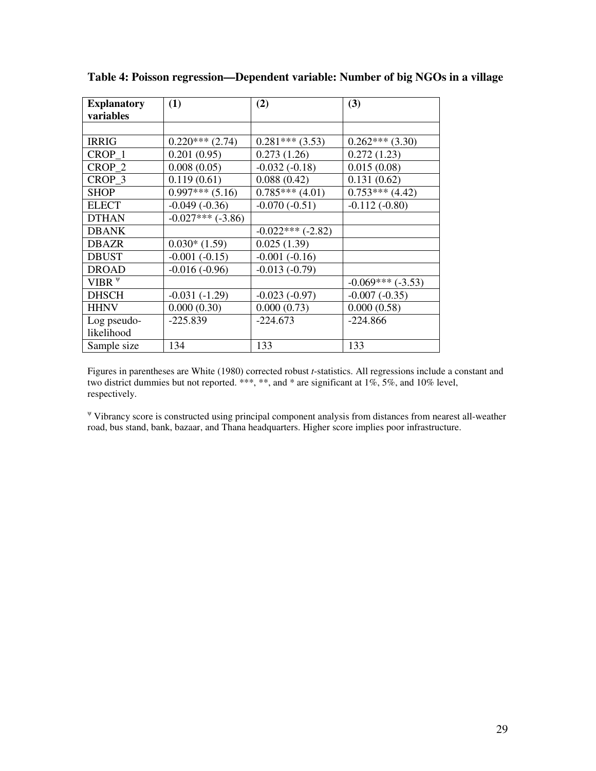| <b>Explanatory</b> | (1)                 | (2)                | (3)                |
|--------------------|---------------------|--------------------|--------------------|
| variables          |                     |                    |                    |
|                    |                     |                    |                    |
| <b>IRRIG</b>       | $0.220***(2.74)$    | $0.281***(3.53)$   | $0.262***(3.30)$   |
| $CROP_1$           | 0.201(0.95)         | 0.273(1.26)        | 0.272(1.23)        |
| CROP <sub>2</sub>  | 0.008(0.05)         | $-0.032(-0.18)$    | 0.015(0.08)        |
| $CROP_3$           | 0.119(0.61)         | 0.088(0.42)        | 0.131(0.62)        |
| <b>SHOP</b>        | $0.997***(5.16)$    | $0.785***(4.01)$   | $0.753***$ (4.42)  |
| <b>ELECT</b>       | $-0.049(-0.36)$     | $-0.070(-0.51)$    | $-0.112(-0.80)$    |
| <b>DTHAN</b>       | $-0.027***$ (-3.86) |                    |                    |
| <b>DBANK</b>       |                     | $-0.022***(-2.82)$ |                    |
| <b>DBAZR</b>       | $0.030*(1.59)$      | 0.025(1.39)        |                    |
| <b>DBUST</b>       | $-0.001(-0.15)$     | $-0.001(-0.16)$    |                    |
| <b>DROAD</b>       | $-0.016(-0.96)$     | $-0.013(-0.79)$    |                    |
| VIBR $\Psi$        |                     |                    | $-0.069***(-3.53)$ |
| <b>DHSCH</b>       | $-0.031(-1.29)$     | $-0.023(-0.97)$    | $-0.007(-0.35)$    |
| <b>HHNV</b>        | 0.000(0.30)         | 0.000(0.73)        | 0.000(0.58)        |
| Log pseudo-        | $-225.839$          | $-224.673$         | $-224.866$         |
| likelihood         |                     |                    |                    |
| Sample size        | 134                 | 133                | 133                |

**Table 4: Poisson regression—Dependent variable: Number of big NGOs in a village** 

Figures in parentheses are White (1980) corrected robust *t*-statistics. All regressions include a constant and two district dummies but not reported. \*\*\*, \*\*, and \* are significant at 1%, 5%, and 10% level, respectively.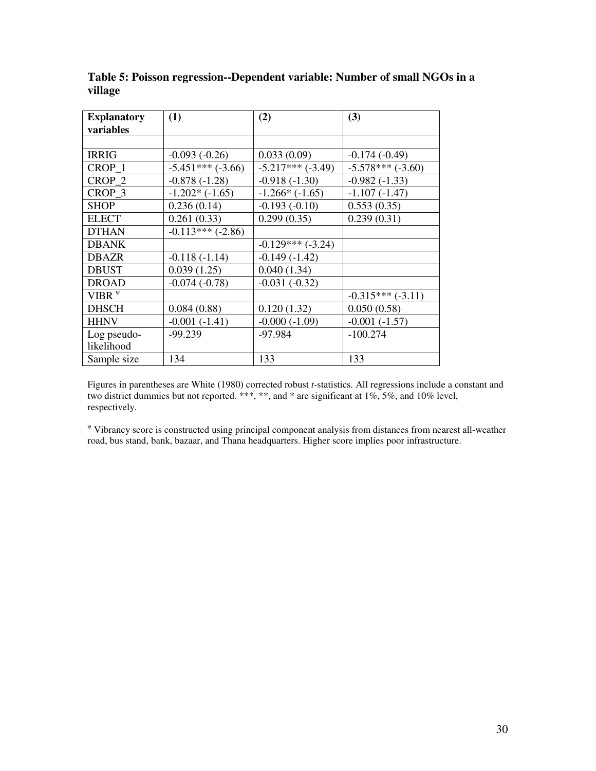| <b>Explanatory</b> | (1)                     | (2)                 | (3)                   |
|--------------------|-------------------------|---------------------|-----------------------|
| variables          |                         |                     |                       |
|                    |                         |                     |                       |
| <b>IRRIG</b>       | $-0.093(-0.26)$         | 0.033(0.09)         | $-0.174(-0.49)$       |
| $CROP_1$           | $-5.451***$ $(-3.66)$   | $-5.217***(-3.49)$  | $-5.578***$ $(-3.60)$ |
| CROP <sub>2</sub>  | $-0.878(-1.28)$         | $-0.918(-1.30)$     | $-0.982(-1.33)$       |
| CROP 3             | $-1.202*$ $(-1.65)$     | $-1.266*$ $(-1.65)$ | $-1.107(-1.47)$       |
| <b>SHOP</b>        | 0.236(0.14)             | $-0.193(-0.10)$     | 0.553(0.35)           |
| <b>ELECT</b>       | 0.261(0.33)             | 0.299(0.35)         | 0.239(0.31)           |
| <b>DTHAN</b>       | $-0.113***$ ( $-2.86$ ) |                     |                       |
| <b>DBANK</b>       |                         | $-0.129***(-3.24)$  |                       |
| <b>DBAZR</b>       | $-0.118(-1.14)$         | $-0.149(-1.42)$     |                       |
| <b>DBUST</b>       | 0.039(1.25)             | 0.040(1.34)         |                       |
| <b>DROAD</b>       | $-0.074(-0.78)$         | $-0.031(-0.32)$     |                       |
| VIBR $\Psi$        |                         |                     | $-0.315***(-3.11)$    |
| <b>DHSCH</b>       | 0.084(0.88)             | 0.120(1.32)         | 0.050(0.58)           |
| <b>HHNV</b>        | $-0.001(-1.41)$         | $-0.000(-1.09)$     | $-0.001(-1.57)$       |
| Log pseudo-        | $-99.239$               | $-97.984$           | $-100.274$            |
| likelihood         |                         |                     |                       |
| Sample size        | 134                     | 133                 | 133                   |

**Table 5: Poisson regression--Dependent variable: Number of small NGOs in a village** 

Figures in parentheses are White (1980) corrected robust *t*-statistics. All regressions include a constant and two district dummies but not reported. \*\*\*, \*\*, and \* are significant at  $1\%$ ,  $5\%$ , and  $10\%$  level, respectively.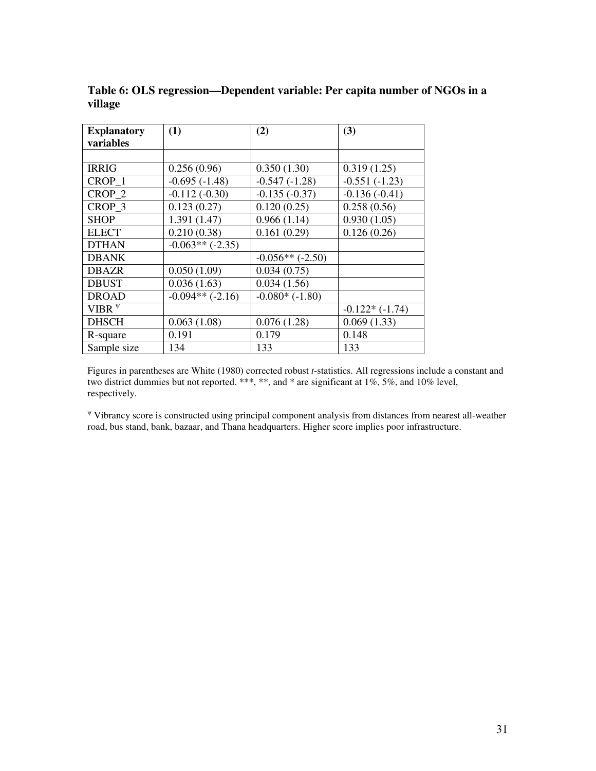| <b>Explanatory</b> | (1)                    | (2)                 | (3)              |
|--------------------|------------------------|---------------------|------------------|
| variables          |                        |                     |                  |
|                    |                        |                     |                  |
| <b>IRRIG</b>       | 0.256(0.96)            | 0.350(1.30)         | 0.319(1.25)      |
| CROP <sub>1</sub>  | $-0.695(-1.48)$        | $-0.547(-1.28)$     | $-0.551(-1.23)$  |
| CROP <sub>2</sub>  | $-0.112(-0.30)$        | $-0.135(-0.37)$     | $-0.136(-0.41)$  |
| CROP <sub>3</sub>  | 0.123(0.27)            | 0.120(0.25)         | 0.258(0.56)      |
| <b>SHOP</b>        | 1.391(1.47)            | 0.966(1.14)         | 0.930(1.05)      |
| <b>ELECT</b>       | 0.210(0.38)            | 0.161(0.29)         | 0.126(0.26)      |
| <b>DTHAN</b>       | $-0.063**(-2.35)$      |                     |                  |
| <b>DBANK</b>       |                        | $-0.056**(-2.50)$   |                  |
| <b>DBAZR</b>       | 0.050(1.09)            | 0.034(0.75)         |                  |
| <b>DBUST</b>       | 0.036(1.63)            | 0.034(1.56)         |                  |
| <b>DROAD</b>       | $-0.094**$ ( $-2.16$ ) | $-0.080*$ $(-1.80)$ |                  |
| VIBR $\Psi$        |                        |                     | $-0.122*(-1.74)$ |
| <b>DHSCH</b>       | 0.063(1.08)            | 0.076(1.28)         | 0.069(1.33)      |
| R-square           | 0.191                  | 0.179               | 0.148            |
| Sample size        | 134                    | 133                 | 133              |

**Table 6: OLS regression—Dependent variable: Per capita number of NGOs in a village** 

Figures in parentheses are White (1980) corrected robust *t*-statistics. All regressions include a constant and two district dummies but not reported. \*\*\*, \*\*, and \* are significant at 1%, 5%, and 10% level, respectively.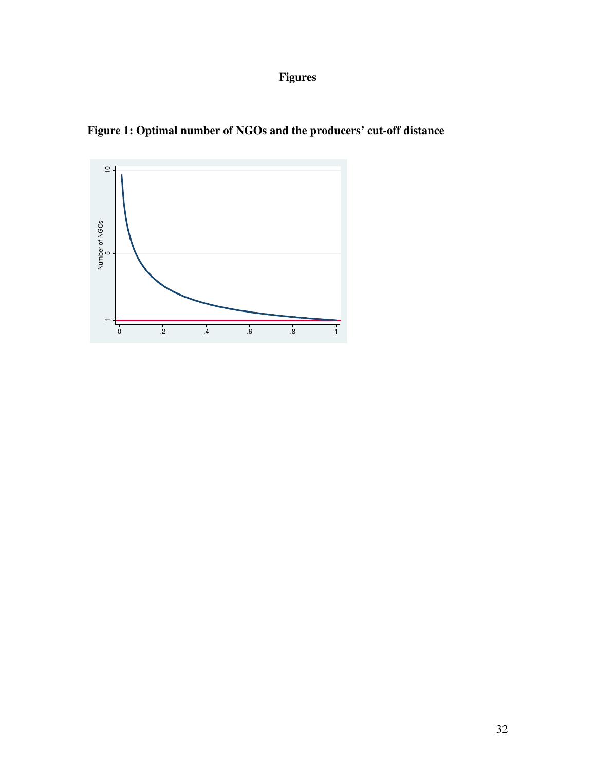# **Figures**

**Figure 1: Optimal number of NGOs and the producers' cut-off distance** 

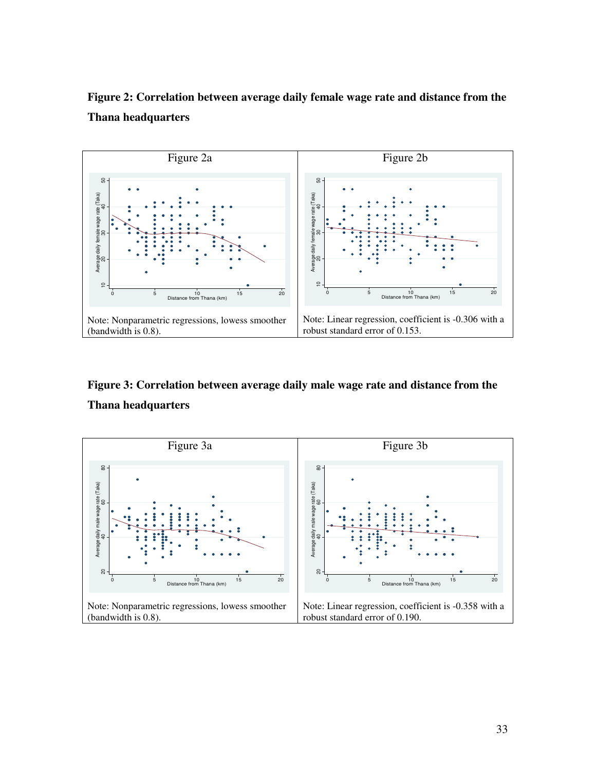



## **Figure 3: Correlation between average daily male wage rate and distance from the Thana headquarters**

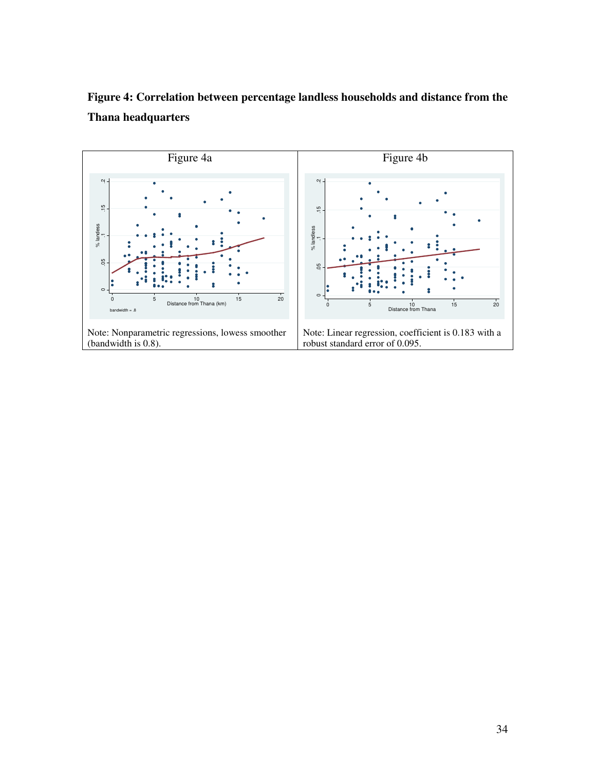

# **Figure 4: Correlation between percentage landless households and distance from the Thana headquarters**